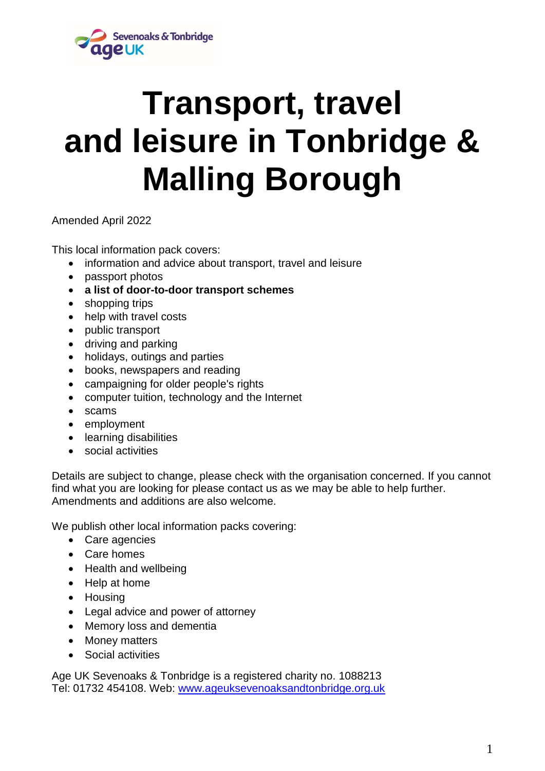

# **Transport, travel and leisure in Tonbridge & Malling Borough**

Amended April 2022

This local information pack covers:

- information and advice about transport, travel and leisure
- passport photos
- **a list of door-to-door transport schemes**
- shopping trips
- help with travel costs
- public transport
- driving and parking
- holidays, outings and parties
- books, newspapers and reading
- campaigning for older people's rights
- computer tuition, technology and the Internet
- scams
- employment
- **•** learning disabilities
- social activities

Details are subject to change, please check with the organisation concerned. If you cannot find what you are looking for please contact us as we may be able to help further. Amendments and additions are also welcome.

We publish other local information packs covering:

- Care agencies
- Care homes
- Health and wellbeing
- Help at home
- Housing
- Legal advice and power of attorney
- Memory loss and dementia
- Money matters
- Social activities

Age UK Sevenoaks & Tonbridge is a registered charity no. 1088213 Tel: 01732 454108. Web: [www.ageuksevenoaksandtonbridge.org.uk](http://www.ageuksevenoaksandtonbridge.org.uk/)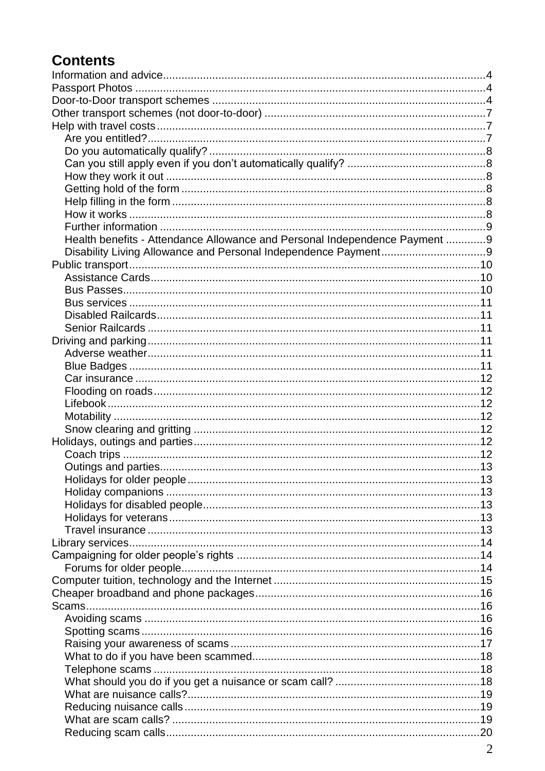# **Contents**

| Health benefits - Attendance Allowance and Personal Independence Payment 9 |  |
|----------------------------------------------------------------------------|--|
|                                                                            |  |
|                                                                            |  |
|                                                                            |  |
|                                                                            |  |
|                                                                            |  |
|                                                                            |  |
|                                                                            |  |
|                                                                            |  |
|                                                                            |  |
|                                                                            |  |
|                                                                            |  |
|                                                                            |  |
|                                                                            |  |
|                                                                            |  |
|                                                                            |  |
|                                                                            |  |
|                                                                            |  |
|                                                                            |  |
|                                                                            |  |
|                                                                            |  |
|                                                                            |  |
|                                                                            |  |
|                                                                            |  |
|                                                                            |  |
|                                                                            |  |
|                                                                            |  |
|                                                                            |  |
|                                                                            |  |
|                                                                            |  |
|                                                                            |  |
|                                                                            |  |
|                                                                            |  |
|                                                                            |  |
|                                                                            |  |
|                                                                            |  |
|                                                                            |  |
|                                                                            |  |
|                                                                            |  |
|                                                                            |  |
|                                                                            |  |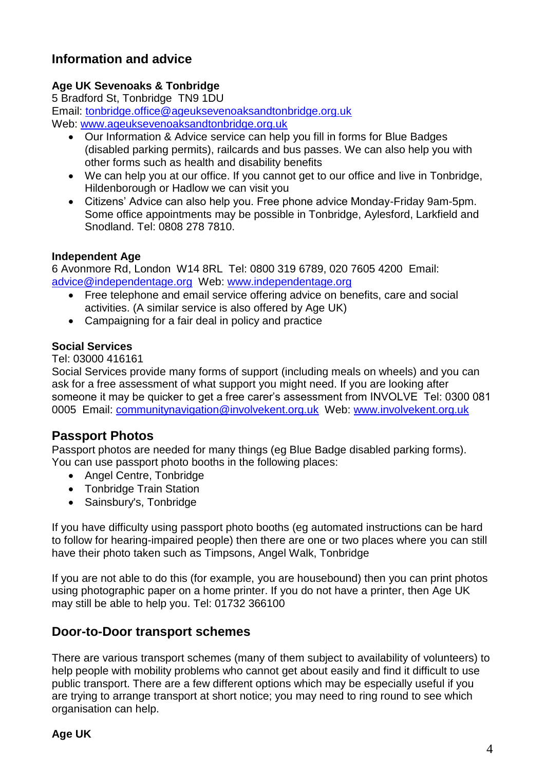## <span id="page-3-0"></span>**Information and advice**

## **Age UK Sevenoaks & Tonbridge**

5 Bradford St, Tonbridge TN9 1DU Email: [tonbridge.office@ageuksevenoaksandtonbridge.org.uk](mailto:tonbridge.office@ageuksevenoaksandtonbridge.org.uk) Web: [www.ageuksevenoaksandtonbridge.org.uk](http://www.ageuksevenoaksandtonbridge.org.uk/)

- Our Information & Advice service can help you fill in forms for Blue Badges (disabled parking permits), railcards and bus passes. We can also help you with other forms such as health and disability benefits
- We can help you at our office. If you cannot get to our office and live in Tonbridge, Hildenborough or Hadlow we can visit you
- Citizens' Advice can also help you. Free phone advice Monday-Friday 9am-5pm. Some office appointments may be possible in Tonbridge, Aylesford, Larkfield and Snodland. Tel: 0808 278 7810.

## **Independent Age**

6 Avonmore Rd, London W14 8RL Tel: 0800 319 6789, 020 7605 4200 Email: [advice@independentage.org](mailto:advice@independentage.org) Web: [www.independentage.org](http://www.independentage.org/)

- Free telephone and email service offering advice on benefits, care and social activities. (A similar service is also offered by Age UK)
- Campaigning for a fair deal in policy and practice

## **Social Services**

Tel: 03000 416161

Social Services provide many forms of support (including meals on wheels) and you can ask for a free assessment of what support you might need. If you are looking after someone it may be quicker to get a free carer's assessment from INVOLVE Tel: 0300 081 0005 Email: **communitynavigation@involvekent.org.uk** Web: [www.involvekent.org.uk](http://www.involvekent.org.uk/)

## <span id="page-3-1"></span>**Passport Photos**

Passport photos are needed for many things (eg Blue Badge disabled parking forms). You can use passport photo booths in the following places:

- Angel Centre, Tonbridge
- Tonbridge Train Station
- Sainsbury's, Tonbridge

If you have difficulty using passport photo booths (eg automated instructions can be hard to follow for hearing-impaired people) then there are one or two places where you can still have their photo taken such as Timpsons, Angel Walk, Tonbridge

If you are not able to do this (for example, you are housebound) then you can print photos using photographic paper on a home printer. If you do not have a printer, then Age UK may still be able to help you. Tel: 01732 366100

## <span id="page-3-2"></span>**Door-to-Door transport schemes**

There are various transport schemes (many of them subject to availability of volunteers) to help people with mobility problems who cannot get about easily and find it difficult to use public transport. There are a few different options which may be especially useful if you are trying to arrange transport at short notice; you may need to ring round to see which organisation can help.

## **Age UK**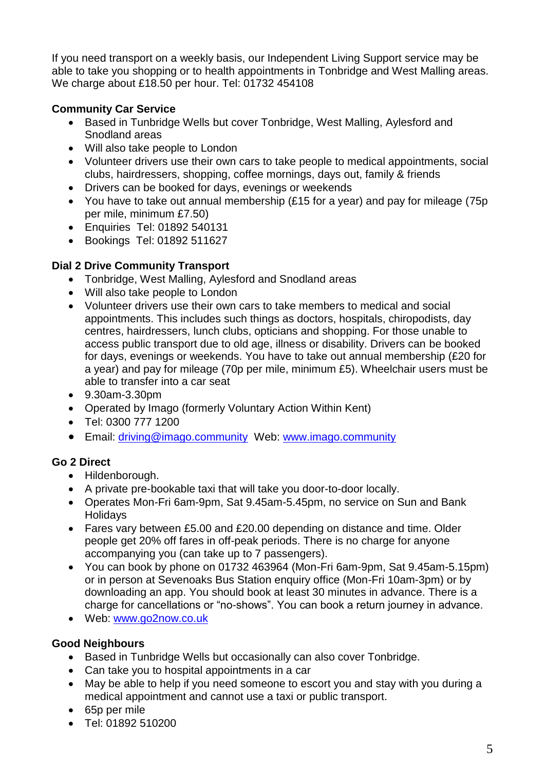If you need transport on a weekly basis, our Independent Living Support service may be able to take you shopping or to health appointments in Tonbridge and West Malling areas. We charge about £18.50 per hour. Tel: 01732 454108

## **Community Car Service**

- Based in Tunbridge Wells but cover Tonbridge, West Malling, Aylesford and Snodland areas
- Will also take people to London
- Volunteer drivers use their own cars to take people to medical appointments, social clubs, hairdressers, shopping, coffee mornings, days out, family & friends
- Drivers can be booked for days, evenings or weekends
- You have to take out annual membership (£15 for a year) and pay for mileage (75p per mile, minimum £7.50)
- Enquiries Tel: 01892 540131
- Bookings Tel: 01892 511627

## **Dial 2 Drive Community Transport**

- Tonbridge, West Malling, Aylesford and Snodland areas
- Will also take people to London
- Volunteer drivers use their own cars to take members to medical and social appointments. This includes such things as doctors, hospitals, chiropodists, day centres, hairdressers, lunch clubs, opticians and shopping. For those unable to access public transport due to old age, illness or disability. Drivers can be booked for days, evenings or weekends. You have to take out annual membership (£20 for a year) and pay for mileage (70p per mile, minimum £5). Wheelchair users must be able to transfer into a car seat
- 9.30am-3.30pm
- Operated by Imago (formerly Voluntary Action Within Kent)
- Tel: 0300 777 1200
- Email: [driving@imago.community](mailto:driving@imago.community)Web: www.imago.community

## **Go 2 Direct**

- Hildenborough.
- A private pre-bookable taxi that will take you door-to-door locally.
- Operates Mon-Fri 6am-9pm, Sat 9.45am-5.45pm, no service on Sun and Bank **Holidays**
- Fares vary between £5.00 and £20.00 depending on distance and time. Older people get 20% off fares in off-peak periods. There is no charge for anyone accompanying you (can take up to 7 passengers).
- You can book by phone on 01732 463964 (Mon-Fri 6am-9pm, Sat 9.45am-5.15pm) or in person at Sevenoaks Bus Station enquiry office (Mon-Fri 10am-3pm) or by downloading an app. You should book at least 30 minutes in advance. There is a charge for cancellations or "no-shows". You can book a return journey in advance.
- Web: [www.go2now.co.uk](http://www.go2now.co.uk/)

## **Good Neighbours**

- Based in Tunbridge Wells but occasionally can also cover Tonbridge.
- Can take you to hospital appointments in a car
- May be able to help if you need someone to escort you and stay with you during a medical appointment and cannot use a taxi or public transport.
- 65p per mile
- Tel: 01892 510200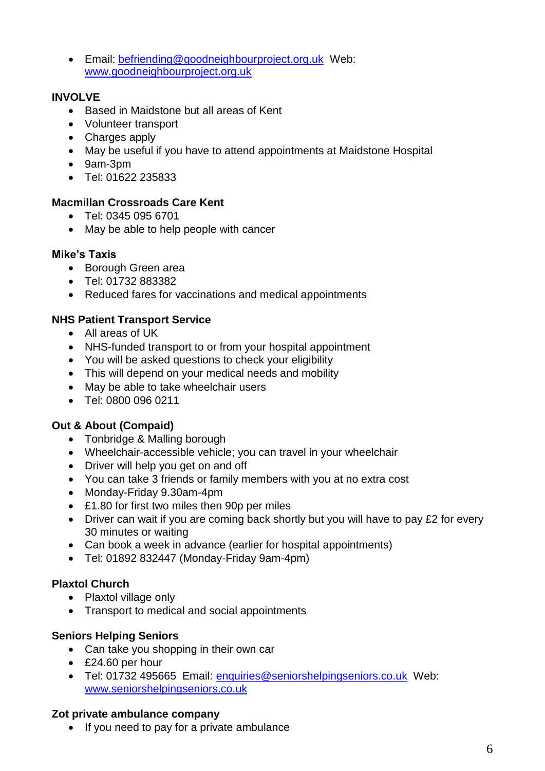Email: [befriending@goodneighbourproject.org.uk](mailto:befriending@goodneighbourproject.org.uk) Web: [www.goodneighbourproject.org.uk](http://www.goodneighbourproject.org.uk/)

## **INVOLVE**

- Based in Maidstone but all areas of Kent
- Volunteer transport
- Charges apply
- May be useful if you have to attend appointments at Maidstone Hospital
- 9am-3pm
- Tel: 01622 235833

## **Macmillan Crossroads Care Kent**

- Tel: 0345 095 6701
- May be able to help people with cancer

## **Mike's Taxis**

- Borough Green area
- Tel: 01732 883382
- Reduced fares for vaccinations and medical appointments

## **NHS Patient Transport Service**

- All areas of UK
- NHS-funded transport to or from your hospital appointment
- You will be asked questions to check your eligibility
- This will depend on your medical needs and mobility
- May be able to take wheelchair users
- Tel: 0800 096 0211

## **Out & About (Compaid)**

- Tonbridge & Malling borough
- Wheelchair-accessible vehicle; you can travel in your wheelchair
- Driver will help you get on and off
- You can take 3 friends or family members with you at no extra cost
- Monday-Friday 9.30am-4pm
- £1.80 for first two miles then 90p per miles
- Driver can wait if you are coming back shortly but you will have to pay £2 for every 30 minutes or waiting
- Can book a week in advance (earlier for hospital appointments)
- Tel: 01892 832447 (Monday-Friday 9am-4pm)

## **Plaxtol Church**

- Plaxtol village only
- Transport to medical and social appointments

## **Seniors Helping Seniors**

- Can take you shopping in their own car
- £24.60 per hour
- Tel: 01732 495665 Email: enquiries@seniorshelpingseniors.co.uk Web: www.seniorshelpingseniors.co.uk

## **Zot private ambulance company**

• If you need to pay for a private ambulance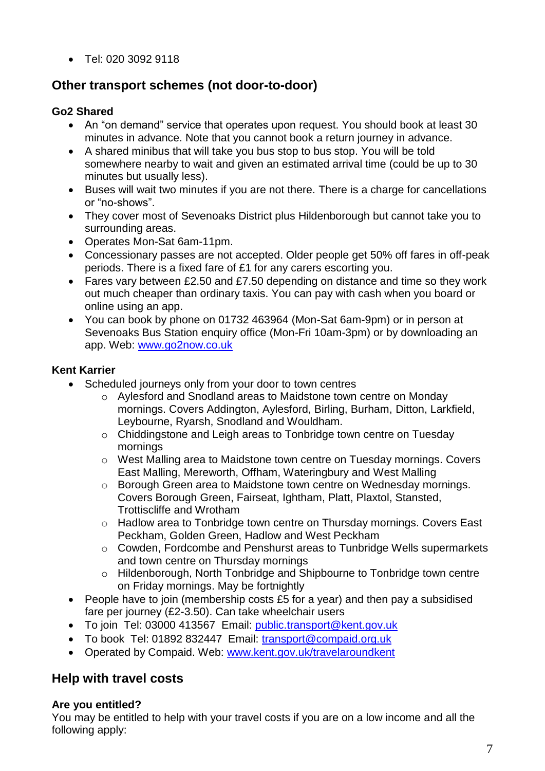• Tel: 020 3092 9118

## <span id="page-6-0"></span>**Other transport schemes (not door-to-door)**

## **Go2 Shared**

- An "on demand" service that operates upon request. You should book at least 30 minutes in advance. Note that you cannot book a return journey in advance.
- A shared minibus that will take you bus stop to bus stop. You will be told somewhere nearby to wait and given an estimated arrival time (could be up to 30 minutes but usually less).
- Buses will wait two minutes if you are not there. There is a charge for cancellations or "no-shows".
- They cover most of Sevenoaks District plus Hildenborough but cannot take you to surrounding areas.
- Operates Mon-Sat 6am-11pm.
- Concessionary passes are not accepted. Older people get 50% off fares in off-peak periods. There is a fixed fare of £1 for any carers escorting you.
- Fares vary between £2.50 and £7.50 depending on distance and time so they work out much cheaper than ordinary taxis. You can pay with cash when you board or online using an app.
- You can book by phone on 01732 463964 (Mon-Sat 6am-9pm) or in person at Sevenoaks Bus Station enquiry office (Mon-Fri 10am-3pm) or by downloading an app. Web: [www.go2now.co.uk](http://www.go2now.co.uk/)

## **Kent Karrier**

- Scheduled journeys only from your door to town centres
	- o Aylesford and Snodland areas to Maidstone town centre on Monday mornings. Covers Addington, Aylesford, Birling, Burham, Ditton, Larkfield, Leybourne, Ryarsh, Snodland and Wouldham.
	- o Chiddingstone and Leigh areas to Tonbridge town centre on Tuesday mornings
	- o West Malling area to Maidstone town centre on Tuesday mornings. Covers East Malling, Mereworth, Offham, Wateringbury and West Malling
	- o Borough Green area to Maidstone town centre on Wednesday mornings. Covers Borough Green, Fairseat, Ightham, Platt, Plaxtol, Stansted, Trottiscliffe and Wrotham
	- o Hadlow area to Tonbridge town centre on Thursday mornings. Covers East Peckham, Golden Green, Hadlow and West Peckham
	- o Cowden, Fordcombe and Penshurst areas to Tunbridge Wells supermarkets and town centre on Thursday mornings
	- o Hildenborough, North Tonbridge and Shipbourne to Tonbridge town centre on Friday mornings. May be fortnightly
- People have to join (membership costs £5 for a year) and then pay a subsidised fare per journey (£2-3.50). Can take wheelchair users
- To join Tel: 03000 413567 Email: public.transport@kent.gov.uk
- To book Tel: 01892 832447 Email: [transport@compaid.org.uk](mailto:transport@compaid.org.uk)
- Operated by Compaid. Web: www.kent.gov.uk/travelaroundkent

## <span id="page-6-1"></span>**Help with travel costs**

## <span id="page-6-2"></span>**Are you entitled?**

You may be entitled to help with your travel costs if you are on a low income and all the following apply: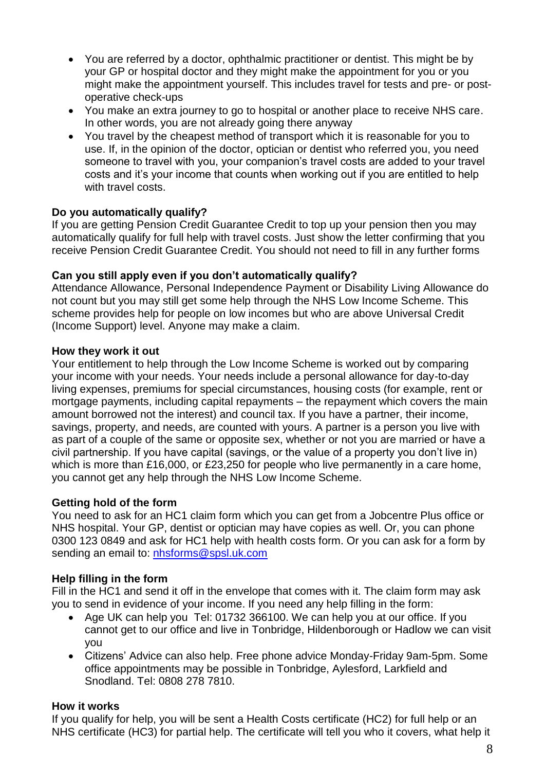- You are referred by a doctor, ophthalmic practitioner or dentist. This might be by your GP or hospital doctor and they might make the appointment for you or you might make the appointment yourself. This includes travel for tests and pre- or postoperative check-ups
- You make an extra journey to go to hospital or another place to receive NHS care. In other words, you are not already going there anyway
- You travel by the cheapest method of transport which it is reasonable for you to use. If, in the opinion of the doctor, optician or dentist who referred you, you need someone to travel with you, your companion's travel costs are added to your travel costs and it's your income that counts when working out if you are entitled to help with travel costs.

#### <span id="page-7-0"></span>**Do you automatically qualify?**

If you are getting Pension Credit Guarantee Credit to top up your pension then you may automatically qualify for full help with travel costs. Just show the letter confirming that you receive Pension Credit Guarantee Credit. You should not need to fill in any further forms

#### <span id="page-7-1"></span>**Can you still apply even if you don't automatically qualify?**

Attendance Allowance, Personal Independence Payment or Disability Living Allowance do not count but you may still get some help through the NHS Low Income Scheme. This scheme provides help for people on low incomes but who are above Universal Credit (Income Support) level. Anyone may make a claim.

#### <span id="page-7-2"></span>**How they work it out**

Your entitlement to help through the Low Income Scheme is worked out by comparing your income with your needs. Your needs include a personal allowance for day-to-day living expenses, premiums for special circumstances, housing costs (for example, rent or mortgage payments, including capital repayments – the repayment which covers the main amount borrowed not the interest) and council tax. If you have a partner, their income, savings, property, and needs, are counted with yours. A partner is a person you live with as part of a couple of the same or opposite sex, whether or not you are married or have a civil partnership. If you have capital (savings, or the value of a property you don't live in) which is more than £16,000, or £23,250 for people who live permanently in a care home, you cannot get any help through the NHS Low Income Scheme.

#### <span id="page-7-3"></span>**Getting hold of the form**

You need to ask for an HC1 claim form which you can get from a Jobcentre Plus office or NHS hospital. Your GP, dentist or optician may have copies as well. Or, you can phone 0300 123 0849 and ask for HC1 help with health costs form. Or you can ask for a form by sending an email to: [nhsforms@spsl.uk.com](mailto:nhsforms@spsl.uk.com)

## <span id="page-7-4"></span>**Help filling in the form**

Fill in the HC1 and send it off in the envelope that comes with it. The claim form may ask you to send in evidence of your income. If you need any help filling in the form:

- Age UK can help you Tel: 01732 366100. We can help you at our office. If you cannot get to our office and live in Tonbridge, Hildenborough or Hadlow we can visit you
- Citizens' Advice can also help. Free phone advice Monday-Friday 9am-5pm. Some office appointments may be possible in Tonbridge, Aylesford, Larkfield and Snodland. Tel: 0808 278 7810.

## <span id="page-7-5"></span>**How it works**

If you qualify for help, you will be sent a Health Costs certificate (HC2) for full help or an NHS certificate (HC3) for partial help. The certificate will tell you who it covers, what help it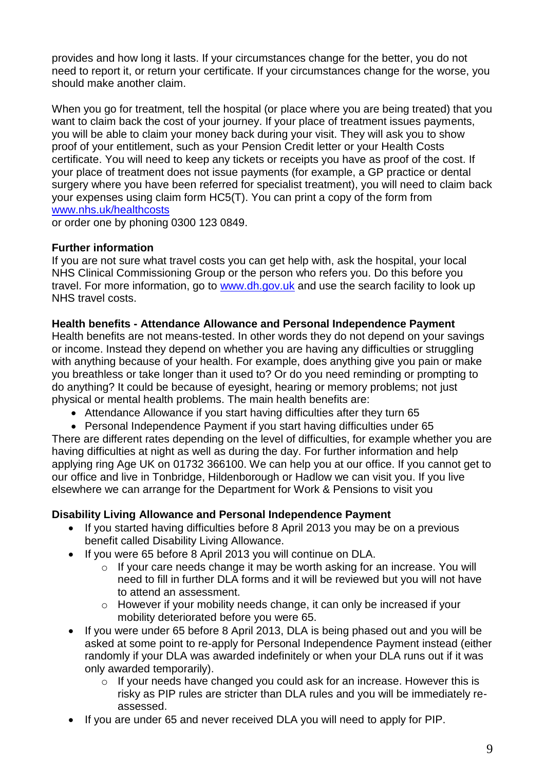provides and how long it lasts. If your circumstances change for the better, you do not need to report it, or return your certificate. If your circumstances change for the worse, you should make another claim.

When you go for treatment, tell the hospital (or place where you are being treated) that you want to claim back the cost of your journey. If your place of treatment issues payments, you will be able to claim your money back during your visit. They will ask you to show proof of your entitlement, such as your Pension Credit letter or your Health Costs certificate. You will need to keep any tickets or receipts you have as proof of the cost. If your place of treatment does not issue payments (for example, a GP practice or dental surgery where you have been referred for specialist treatment), you will need to claim back your expenses using claim form HC5(T). You can print a copy of the form from [www.nhs.uk/healthcosts](http://www.nhs.uk/healthcosts)

or order one by phoning 0300 123 0849.

## <span id="page-8-0"></span>**Further information**

If you are not sure what travel costs you can get help with, ask the hospital, your local NHS Clinical Commissioning Group or the person who refers you. Do this before you travel. For more information, go to www.dh.gov.uk and use the search facility to look up NHS travel costs.

## <span id="page-8-1"></span>**Health benefits - Attendance Allowance and Personal Independence Payment**

Health benefits are not means-tested. In other words they do not depend on your savings or income. Instead they depend on whether you are having any difficulties or struggling with anything because of your health. For example, does anything give you pain or make you breathless or take longer than it used to? Or do you need reminding or prompting to do anything? It could be because of eyesight, hearing or memory problems; not just physical or mental health problems. The main health benefits are:

Attendance Allowance if you start having difficulties after they turn 65

 Personal Independence Payment if you start having difficulties under 65 There are different rates depending on the level of difficulties, for example whether you are having difficulties at night as well as during the day. For further information and help applying ring Age UK on 01732 366100. We can help you at our office. If you cannot get to our office and live in Tonbridge, Hildenborough or Hadlow we can visit you. If you live elsewhere we can arrange for the Department for Work & Pensions to visit you

## <span id="page-8-2"></span>**Disability Living Allowance and Personal Independence Payment**

- If you started having difficulties before 8 April 2013 you may be on a previous benefit called Disability Living Allowance.
- If you were 65 before 8 April 2013 you will continue on DLA.
	- o If your care needs change it may be worth asking for an increase. You will need to fill in further DLA forms and it will be reviewed but you will not have to attend an assessment.
	- o However if your mobility needs change, it can only be increased if your mobility deteriorated before you were 65.
- If you were under 65 before 8 April 2013, DLA is being phased out and you will be asked at some point to re-apply for Personal Independence Payment instead (either randomly if your DLA was awarded indefinitely or when your DLA runs out if it was only awarded temporarily).
	- o If your needs have changed you could ask for an increase. However this is risky as PIP rules are stricter than DLA rules and you will be immediately reassessed.
- If you are under 65 and never received DLA you will need to apply for PIP.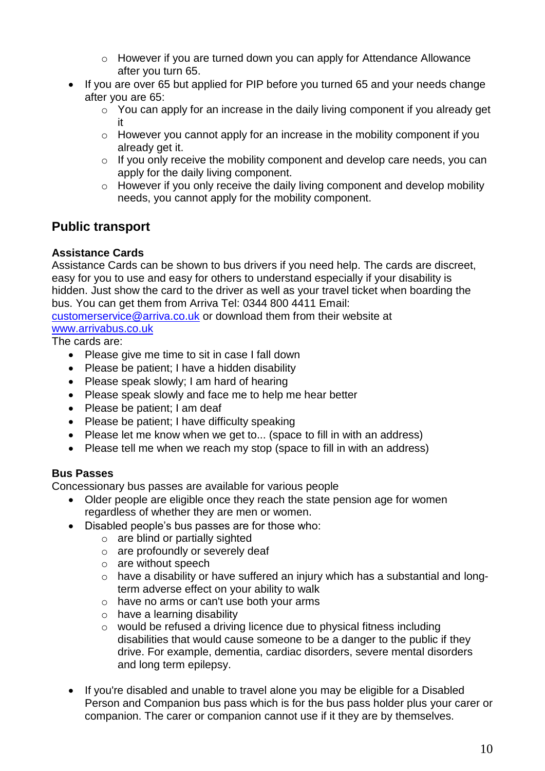- o However if you are turned down you can apply for Attendance Allowance after you turn 65.
- If you are over 65 but applied for PIP before you turned 65 and your needs change after you are 65:
	- o You can apply for an increase in the daily living component if you already get it
	- o However you cannot apply for an increase in the mobility component if you already get it.
	- o If you only receive the mobility component and develop care needs, you can apply for the daily living component.
	- o However if you only receive the daily living component and develop mobility needs, you cannot apply for the mobility component.

## <span id="page-9-0"></span>**Public transport**

## <span id="page-9-1"></span>**Assistance Cards**

Assistance Cards can be shown to bus drivers if you need help. The cards are discreet, easy for you to use and easy for others to understand especially if your disability is hidden. Just show the card to the driver as well as your travel ticket when boarding the bus. You can get them from Arriva Tel: 0344 800 4411 Email:

[customerservice@arriva.co.uk](mailto:customerservice@arriva.co.uk) or download them from their website at [www.arrivabus.co.uk](http://www.arrivabus.co.uk/)

The cards are:

- Please give me time to sit in case I fall down
- Please be patient; I have a hidden disability
- Please speak slowly; I am hard of hearing
- Please speak slowly and face me to help me hear better
- Please be patient; I am deaf
- Please be patient; I have difficulty speaking
- Please let me know when we get to... (space to fill in with an address)
- Please tell me when we reach my stop (space to fill in with an address)

## <span id="page-9-2"></span>**Bus Passes**

Concessionary bus passes are available for various people

- Older people are eligible once they reach the state pension age for women regardless of whether they are men or women.
- Disabled people's bus passes are for those who:
	- o are blind or partially sighted
	- $\circ$  are profoundly or severely deaf
	- o are without speech
	- o have a disability or have suffered an injury which has a substantial and longterm adverse effect on your ability to walk
	- o have no arms or can't use both your arms
	- o have a learning disability
	- o would be refused a driving licence due to physical fitness including disabilities that would cause someone to be a danger to the public if they drive. For example, dementia, cardiac disorders, severe mental disorders and long term epilepsy.
- If you're disabled and unable to travel alone you may be eligible for a Disabled Person and Companion bus pass which is for the bus pass holder plus your carer or companion. The carer or companion cannot use if it they are by themselves.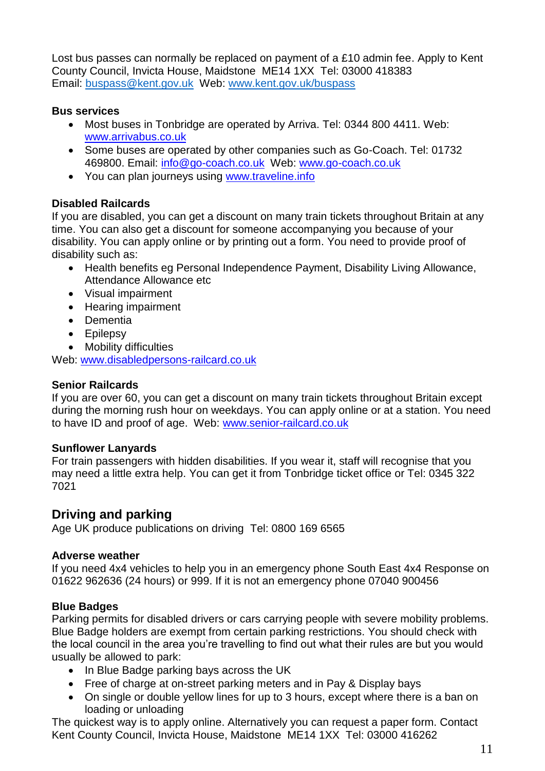Lost bus passes can normally be replaced on payment of a £10 admin fee. Apply to Kent County Council, Invicta House, Maidstone ME14 1XX Tel: 03000 418383 Email: buspass@kent.gov.uk Web: [www.kent.gov.uk/buspass](http://www.kent.gov.uk/buspass)

#### <span id="page-10-0"></span>**Bus services**

- Most buses in Tonbridge are operated by Arriva. Tel: 0344 800 4411. Web: [www.arrivabus.co.uk](http://www.arrivabus.co.uk/)
- Some buses are operated by other companies such as Go-Coach. Tel: 01732 469800. Email: [info@go-coach.co.uk](mailto:info@go-coach.co.uk) Web: [www.go-coach.co.uk](http://www.go-coach.co.uk/)
- You can plan journeys using [www.traveline.info](http://www.traveline.info/)

## <span id="page-10-1"></span>**Disabled Railcards**

If you are disabled, you can get a discount on many train tickets throughout Britain at any time. You can also get a discount for someone accompanying you because of your disability. You can apply online or by printing out a form. You need to provide proof of disability such as:

- Health benefits eg Personal Independence Payment, Disability Living Allowance, Attendance Allowance etc
- Visual impairment
- Hearing impairment
- Dementia
- Epilepsy
- Mobility difficulties

Web: [www.disabledpersons-railcard.co.uk](http://www.disabledpersons-railcard.co.uk/)

#### <span id="page-10-2"></span>**Senior Railcards**

If you are over 60, you can get a discount on many train tickets throughout Britain except during the morning rush hour on weekdays. You can apply online or at a station. You need to have ID and proof of age. Web: www.senior-railcard.co.uk

## **Sunflower Lanyards**

For train passengers with hidden disabilities. If you wear it, staff will recognise that you may need a little extra help. You can get it from Tonbridge ticket office or Tel: 0345 322 7021

## <span id="page-10-3"></span>**Driving and parking**

Age UK produce publications on driving Tel: 0800 169 6565

## <span id="page-10-4"></span>**Adverse weather**

If you need 4x4 vehicles to help you in an emergency phone South East 4x4 Response on 01622 962636 (24 hours) or 999. If it is not an emergency phone 07040 900456

## <span id="page-10-5"></span>**Blue Badges**

Parking permits for disabled drivers or cars carrying people with severe mobility problems. Blue Badge holders are exempt from certain parking restrictions. You should check with the local council in the area you're travelling to find out what their rules are but you would usually be allowed to park:

- In Blue Badge parking bays across the UK
- Free of charge at on-street parking meters and in Pay & Display bays
- On single or double yellow lines for up to 3 hours, except where there is a ban on loading or unloading

The quickest way is to apply online. Alternatively you can request a paper form. Contact Kent County Council, Invicta House, Maidstone ME14 1XX Tel: 03000 416262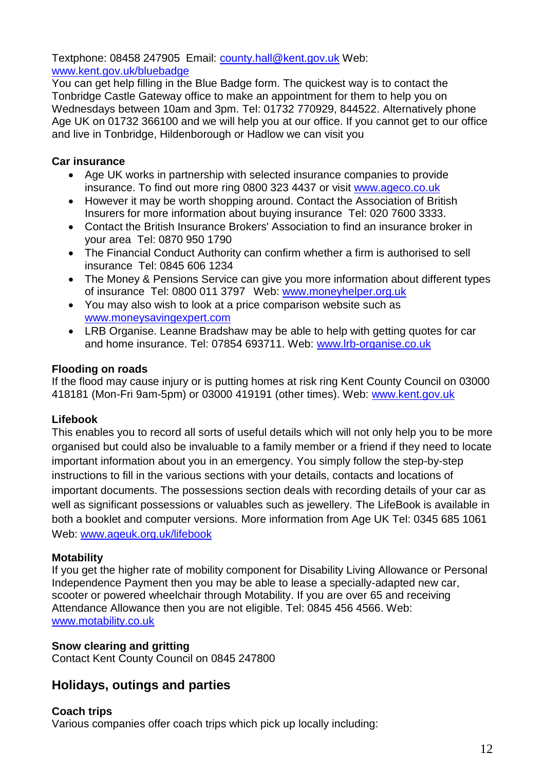Textphone: 08458 247905 Email: [county.hall@kent.gov.uk](mailto:county.hall@kent.gov.uk) Web: www.kent.gov.uk/bluebadge

You can get help filling in the Blue Badge form. The quickest way is to contact the Tonbridge Castle Gateway office to make an appointment for them to help you on Wednesdays between 10am and 3pm. Tel: 01732 770929, 844522. Alternatively phone Age UK on 01732 366100 and we will help you at our office. If you cannot get to our office and live in Tonbridge, Hildenborough or Hadlow we can visit you

## <span id="page-11-0"></span>**Car insurance**

- Age UK works in partnership with selected insurance companies to provide insurance. To find out more ring 0800 323 4437 or visit [www.ageco.co.uk](http://www.ageco.co.uk/)
- However it may be worth shopping around. Contact the Association of British Insurers for more information about buying insurance Tel: 020 7600 3333.
- Contact the British Insurance Brokers' Association to find an insurance broker in your area Tel: 0870 950 1790
- The Financial Conduct Authority can confirm whether a firm is authorised to sell insurance Tel: 0845 606 1234
- The Money & Pensions Service can give you more information about different types of insurance Tel: 0800 011 3797 Web: [www.moneyhelper.org.uk](http://www.moneyhelper.org.uk/)
- You may also wish to look at a price comparison website such as [www.moneysavingexpert.com](http://www.moneysavingexpert.com/)
- LRB Organise. Leanne Bradshaw may be able to help with getting quotes for car and home insurance. Tel: 07854 693711. Web: [www.lrb-organise.co.uk](http://www.lrb-organise.co.uk/)

## <span id="page-11-1"></span>**Flooding on roads**

If the flood may cause injury or is putting homes at risk ring Kent County Council on 03000 418181 (Mon-Fri 9am-5pm) or 03000 419191 (other times). Web: www.kent.gov.uk

## <span id="page-11-2"></span>**Lifebook**

This enables you to record all sorts of useful details which will not only help you to be more organised but could also be invaluable to a family member or a friend if they need to locate important information about you in an emergency. You simply follow the step-by-step instructions to fill in the various sections with your details, contacts and locations of important documents. The possessions section deals with recording details of your car as well as significant possessions or valuables such as jewellery. The LifeBook is available in both a booklet and computer versions. More information from Age UK Tel: 0345 685 1061 Web: www.ageuk.org.uk/lifebook

## <span id="page-11-3"></span>**Motability**

If you get the higher rate of mobility component for Disability Living Allowance or Personal Independence Payment then you may be able to lease a specially-adapted new car, scooter or powered wheelchair through Motability. If you are over 65 and receiving Attendance Allowance then you are not eligible. Tel: 0845 456 4566. Web: www.motability.co.uk

## <span id="page-11-4"></span>**Snow clearing and gritting**

Contact Kent County Council on 0845 247800

## <span id="page-11-5"></span>**Holidays, outings and parties**

## <span id="page-11-6"></span>**Coach trips**

Various companies offer coach trips which pick up locally including: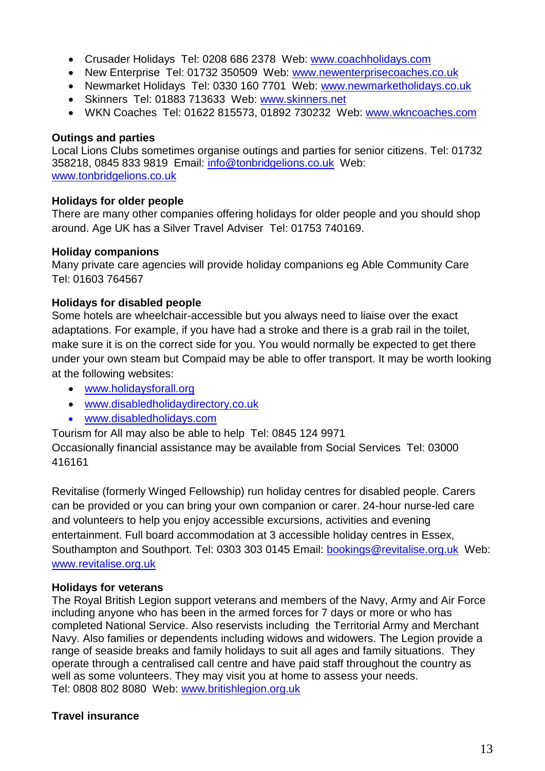- Crusader Holidays Tel: 0208 686 2378 Web: [www.coachholidays.com](http://www.coachholidays.com/)
- New Enterprise Tel: 01732 350509 Web: [www.newenterprisecoaches.co.uk](http://www.newenterprisecoaches.co.uk/)
- Newmarket Holidays Tel: 0330 160 7701 Web: [www.newmarketholidays.co.uk](http://www.newmarketholidays.co.uk/)
- Skinners Tel: 01883 713633 Web: [www.skinners.net](http://www.skinners.net/)
- WKN Coaches Tel: 01622 815573, 01892 730232 Web: [www.wkncoaches.com](http://www.wkncoaches.com/)

#### <span id="page-12-0"></span>**Outings and parties**

Local Lions Clubs sometimes organise outings and parties for senior citizens. Tel: 01732 358218, 0845 833 9819 Email: [info@tonbridgelions.co.uk](mailto:info@tonbridgelions.co.uk) Web: [www.tonbridgelions.co.uk](http://www.tonbridgelions.co.uk/)

#### <span id="page-12-1"></span>**Holidays for older people**

There are many other companies offering holidays for older people and you should shop around. Age UK has a Silver Travel Adviser Tel: 01753 740169.

#### <span id="page-12-2"></span>**Holiday companions**

Many private care agencies will provide holiday companions eg Able Community Care Tel: 01603 764567

#### <span id="page-12-3"></span>**Holidays for disabled people**

Some hotels are wheelchair-accessible but you always need to liaise over the exact adaptations. For example, if you have had a stroke and there is a grab rail in the toilet, make sure it is on the correct side for you. You would normally be expected to get there under your own steam but Compaid may be able to offer transport. It may be worth looking at the following websites:

- [www.holidaysforall.org](http://www.holidaysforall.org/)
- [www.disabledholidaydirectory.co.uk](http://www.disabledholidaydirectory.co.uk/)
- www.disabledholidays.com

Tourism for All may also be able to help Tel: 0845 124 9971

Occasionally financial assistance may be available from Social Services Tel: 03000 416161

Revitalise (formerly Winged Fellowship) run holiday centres for disabled people. Carers can be provided or you can bring your own companion or carer. 24-hour nurse-led care and volunteers to help you enjoy accessible excursions, activities and evening entertainment. Full board accommodation at 3 accessible holiday centres in Essex, Southampton and Southport. Tel: 0303 303 0145 Email: [bookings@revitalise.org.uk](mailto:bookings@revitalise.org.uk) Web: [www.revitalise.org.uk](http://www.revitalise.org.uk/)

#### <span id="page-12-4"></span>**Holidays for veterans**

The Royal British Legion support veterans and members of the Navy, Army and Air Force including anyone who has been in the armed forces for 7 days or more or who has completed National Service. Also reservists including the Territorial Army and Merchant Navy. Also families or dependents including widows and widowers. The Legion provide a range of seaside breaks and family holidays to suit all ages and family situations. They operate through a centralised call centre and have paid staff throughout the country as well as some volunteers. They may visit you at home to assess your needs. Tel: 0808 802 8080 Web: [www.britishlegion.org.uk](http://www.britishlegion.org.uk/)

## <span id="page-12-5"></span>**Travel insurance**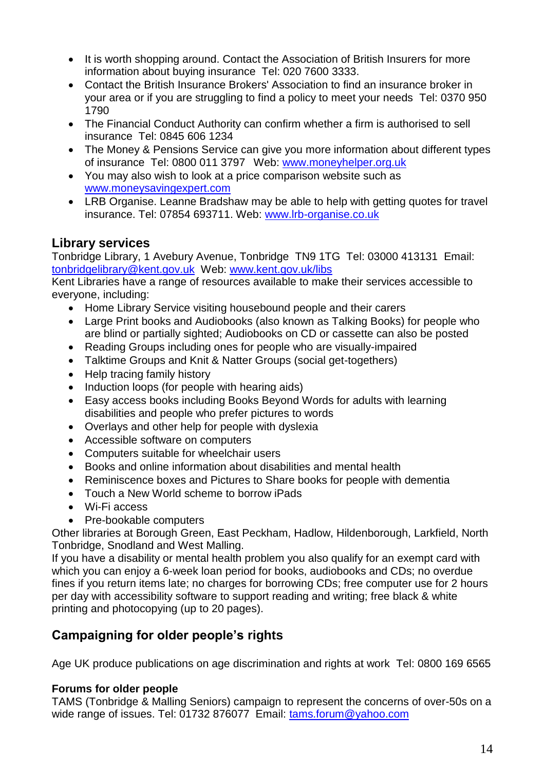- It is worth shopping around. Contact the Association of British Insurers for more information about buying insurance Tel: 020 7600 3333.
- Contact the British Insurance Brokers' Association to find an insurance broker in your area or if you are struggling to find a policy to meet your needs Tel: 0370 950 1790
- The Financial Conduct Authority can confirm whether a firm is authorised to sell insurance Tel: 0845 606 1234
- The Money & Pensions Service can give you more information about different types of insurance Tel: 0800 011 3797 Web: [www.moneyhelper.org.uk](http://www.moneyhelper.org.uk/)
- You may also wish to look at a price comparison website such as [www.moneysavingexpert.com](http://www.moneysavingexpert.com/)
- LRB Organise. Leanne Bradshaw may be able to help with getting quotes for travel insurance. Tel: 07854 693711. Web: [www.lrb-organise.co.uk](http://www.lrb-organise.co.uk/)

## <span id="page-13-0"></span>**Library services**

Tonbridge Library, 1 Avebury Avenue, Tonbridge TN9 1TG Tel: 03000 413131 Email: [tonbridgelibrary@kent.gov.uk](mailto:tonbridgelibrary@kent.gov.uk) Web: [www.kent.gov.uk/libs](http://www.kent.gov.uk/libs)

Kent Libraries have a range of resources available to make their services accessible to everyone, including:

- Home Library Service visiting housebound people and their carers
- Large Print books and Audiobooks (also known as Talking Books) for people who are blind or partially sighted; Audiobooks on CD or cassette can also be posted
- Reading Groups including ones for people who are visually-impaired
- Talktime Groups and Knit & Natter Groups (social get-togethers)
- Help tracing family history
- Induction loops (for people with hearing aids)
- Easy access books including Books Beyond Words for adults with learning disabilities and people who prefer pictures to words
- Overlays and other help for people with dyslexia
- Accessible software on computers
- Computers suitable for wheelchair users
- Books and online information about disabilities and mental health
- Reminiscence boxes and Pictures to Share books for people with dementia
- Touch a New World scheme to borrow iPads
- Wi-Fi access
- Pre-bookable computers

Other libraries at Borough Green, East Peckham, Hadlow, Hildenborough, Larkfield, North Tonbridge, Snodland and West Malling.

If you have a disability or mental health problem you also qualify for an exempt card with which you can enjoy a 6-week loan period for books, audiobooks and CDs; no overdue fines if you return items late; no charges for borrowing CDs; free computer use for 2 hours per day with accessibility software to support reading and writing; free black & white printing and photocopying (up to 20 pages).

## <span id="page-13-1"></span>**Campaigning for older people's rights**

Age UK produce publications on age discrimination and rights at work Tel: 0800 169 6565

#### <span id="page-13-2"></span>**Forums for older people**

TAMS (Tonbridge & Malling Seniors) campaign to represent the concerns of over-50s on a wide range of issues. Tel: 01732 876077 Email: [tams.forum@yahoo.com](mailto:tams.forum@yahoo.com)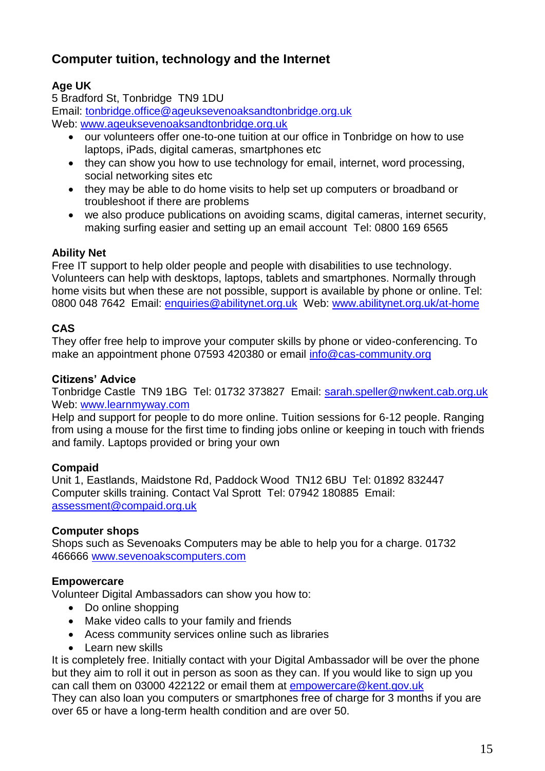## <span id="page-14-0"></span>**Computer tuition, technology and the Internet**

## **Age UK**

5 Bradford St, Tonbridge TN9 1DU Email: [tonbridge.office@ageuksevenoaksandtonbridge.org.uk](mailto:tonbridge.office@ageuksevenoaksandtonbridge.org.uk) Web: [www.ageuksevenoaksandtonbridge.org.uk](http://www.ageuksevenoaksandtonbridge.org.uk/)

- our volunteers offer one-to-one tuition at our office in Tonbridge on how to use laptops, iPads, digital cameras, smartphones etc
- they can show you how to use technology for email, internet, word processing, social networking sites etc
- they may be able to do home visits to help set up computers or broadband or troubleshoot if there are problems
- we also produce publications on avoiding scams, digital cameras, internet security, making surfing easier and setting up an email account Tel: 0800 169 6565

## **Ability Net**

Free IT support to help older people and people with disabilities to use technology. Volunteers can help with desktops, laptops, tablets and smartphones. Normally through home visits but when these are not possible, support is available by phone or online. Tel: 0800 048 7642 Email: [enquiries@abilitynet.org.uk](mailto:enquiries@abilitynet.org.uk) Web: [www.abilitynet.org.uk/at-home](http://www.abilitynet.org.uk/at-home)

## **CAS**

They offer free help to improve your computer skills by phone or video-conferencing. To make an appointment phone 07593 420380 or email [info@cas-community.org](mailto:info@cas-community.org)

## **Citizens' Advice**

Tonbridge Castle TN9 1BG Tel: 01732 373827 Email: [sarah.speller@nwkent.cab.org.uk](mailto:sarah.speller@nwkent.cab.org.uk)  Web: www.learnmyway.com

Help and support for people to do more online. Tuition sessions for 6-12 people. Ranging from using a mouse for the first time to finding jobs online or keeping in touch with friends and family. Laptops provided or bring your own

## **Compaid**

Unit 1, Eastlands, Maidstone Rd, Paddock Wood TN12 6BU Tel: 01892 832447 Computer skills training. Contact Val Sprott Tel: 07942 180885 Email: [assessment@compaid.org.uk](mailto:assessment@compaid.org.uk)

## **Computer shops**

Shops such as Sevenoaks Computers may be able to help you for a charge. 01732 466666 [www.sevenoakscomputers.com](http://www.sevenoakscomputers.com/)

## **Empowercare**

Volunteer Digital Ambassadors can show you how to:

- Do online shopping
- Make video calls to your family and friends
- Acess community services online such as libraries
- Learn new skills

It is completely free. Initially contact with your Digital Ambassador will be over the phone but they aim to roll it out in person as soon as they can. If you would like to sign up you can call them on 03000 422122 or email them at [empowercare@kent.gov.uk](mailto:empowercare@kent.gov.uk)

They can also loan you computers or smartphones free of charge for 3 months if you are over 65 or have a long-term health condition and are over 50.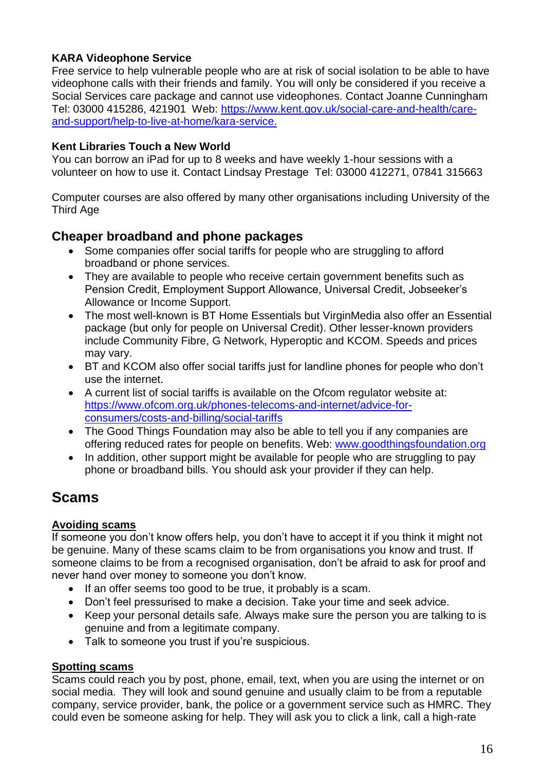## **KARA Videophone Service**

Free service to help vulnerable people who are at risk of social isolation to be able to have videophone calls with their friends and family. You will only be considered if you receive a Social Services care package and cannot use videophones. Contact Joanne Cunningham Tel: 03000 415286, 421901 Web: [https://www.kent.gov.uk/social-care-and-health/care](https://eur01.safelinks.protection.outlook.com/?url=https%3A%2F%2Fwww.kent.gov.uk%2Fsocial-care-and-health%2Fcare-and-support%2Fhelp-to-live-at-home%2Fkara-service&data=04%7C01%7Ckaraservice%40kent.gov.uk%7C383c9d4118d44576320208d891462704%7C3253a20dc7354bfea8b73e6ab37f5f90%7C0%7C0%7C637419077768551985%7CUnknown%7CTWFpbGZsb3d8eyJWIjoiMC4wLjAwMDAiLCJQIjoiV2luMzIiLCJBTiI6Ik1haWwiLCJXVCI6Mn0%3D%7C1000&sdata=omcUQIvhPXr3o90CMcvj2A7sVLiFBmqakfzhpUMIhQU%3D&reserved=0)[and-support/help-to-live-at-home/kara-service.](https://eur01.safelinks.protection.outlook.com/?url=https%3A%2F%2Fwww.kent.gov.uk%2Fsocial-care-and-health%2Fcare-and-support%2Fhelp-to-live-at-home%2Fkara-service&data=04%7C01%7Ckaraservice%40kent.gov.uk%7C383c9d4118d44576320208d891462704%7C3253a20dc7354bfea8b73e6ab37f5f90%7C0%7C0%7C637419077768551985%7CUnknown%7CTWFpbGZsb3d8eyJWIjoiMC4wLjAwMDAiLCJQIjoiV2luMzIiLCJBTiI6Ik1haWwiLCJXVCI6Mn0%3D%7C1000&sdata=omcUQIvhPXr3o90CMcvj2A7sVLiFBmqakfzhpUMIhQU%3D&reserved=0)

## **Kent Libraries Touch a New World**

You can borrow an iPad for up to 8 weeks and have weekly 1-hour sessions with a volunteer on how to use it. Contact Lindsay Prestage Tel: 03000 412271, 07841 315663

Computer courses are also offered by many other organisations including University of the Third Age

## <span id="page-15-0"></span>**Cheaper broadband and phone packages**

- Some companies offer social tariffs for people who are struggling to afford broadband or phone services.
- They are available to people who receive certain government benefits such as Pension Credit, Employment Support Allowance, Universal Credit, Jobseeker's Allowance or Income Support.
- The most well-known is BT Home Essentials but VirginMedia also offer an Essential package (but only for people on Universal Credit). Other lesser-known providers include Community Fibre, G Network, Hyperoptic and KCOM. Speeds and prices may vary.
- BT and KCOM also offer social tariffs just for landline phones for people who don't use the internet.
- A current list of social tariffs is available on the Ofcom regulator website at: [https://www.ofcom.org.uk/phones-telecoms-and-internet/advice-for](https://www.ofcom.org.uk/phones-telecoms-and-internet/advice-for-consumers/costs-and-billing/social-tariffs)[consumers/costs-and-billing/social-tariffs](https://www.ofcom.org.uk/phones-telecoms-and-internet/advice-for-consumers/costs-and-billing/social-tariffs)
- The Good Things Foundation may also be able to tell you if any companies are offering reduced rates for people on benefits. Web: [www.goodthingsfoundation.org](http://www.goodthingsfoundation.org/)
- In addition, other support might be available for people who are struggling to pay phone or broadband bills. You should ask your provider if they can help.

# <span id="page-15-1"></span>**Scams**

## <span id="page-15-2"></span>**Avoiding scams**

If someone you don't know offers help, you don't have to accept it if you think it might not be genuine. Many of these scams claim to be from organisations you know and trust. If someone claims to be from a recognised organisation, don't be afraid to ask for proof and never hand over money to someone you don't know.

- If an offer seems too good to be true, it probably is a scam.
- Don't feel pressurised to make a decision. Take your time and seek advice.
- Keep your personal details safe. Always make sure the person you are talking to is genuine and from a legitimate company.
- Talk to someone you trust if you're suspicious.

## <span id="page-15-3"></span>**Spotting scams**

Scams could reach you by post, phone, email, text, when you are using the internet or on social media. They will look and sound genuine and usually claim to be from a reputable company, service provider, bank, the police or a government service such as HMRC. They could even be someone asking for help. They will ask you to click a link, call a high-rate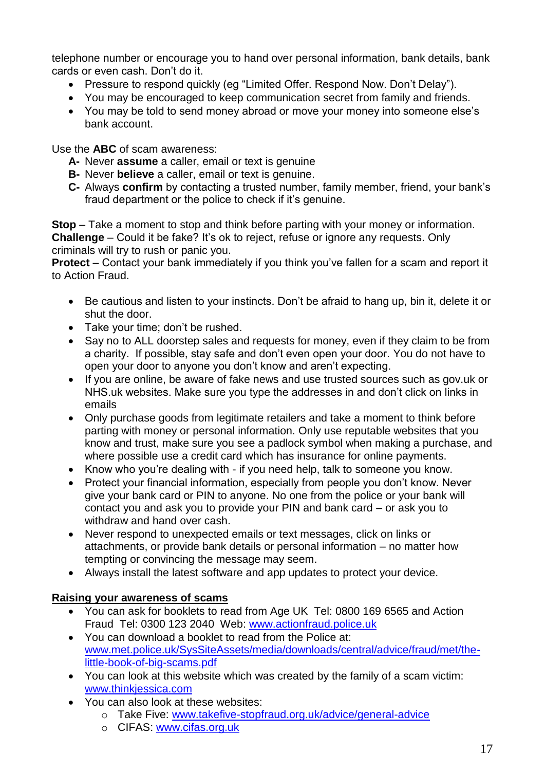telephone number or encourage you to hand over personal information, bank details, bank cards or even cash. Don't do it.

- Pressure to respond quickly (eg "Limited Offer. Respond Now. Don't Delay").
- You may be encouraged to keep communication secret from family and friends.
- You may be told to send money abroad or move your money into someone else's bank account.

Use the **ABC** of scam awareness:

- **A-** Never **assume** a caller, email or text is genuine
- **B-** Never **believe** a caller, email or text is genuine.
- **C-** Always **confirm** by contacting a trusted number, family member, friend, your bank's fraud department or the police to check if it's genuine.

**Stop** – Take a moment to stop and think before parting with your money or information. **Challenge** – Could it be fake? It's ok to reject, refuse or ignore any requests. Only criminals will try to rush or panic you.

**Protect** – Contact your bank immediately if you think you've fallen for a scam and report it to Action Fraud.

- Be cautious and listen to your instincts. Don't be afraid to hang up, bin it, delete it or shut the door.
- Take your time; don't be rushed.
- Say no to ALL doorstep sales and requests for money, even if they claim to be from a charity. If possible, stay safe and don't even open your door. You do not have to open your door to anyone you don't know and aren't expecting.
- If you are online, be aware of fake news and use trusted sources such as gov.uk or NHS.uk websites. Make sure you type the addresses in and don't click on links in emails
- Only purchase goods from legitimate retailers and take a moment to think before parting with money or personal information. Only use reputable websites that you know and trust, make sure you see a padlock symbol when making a purchase, and where possible use a credit card which has insurance for online payments.
- Know who you're dealing with if you need help, talk to someone you know.
- Protect your financial information, especially from people you don't know. Never give your bank card or PIN to anyone. No one from the police or your bank will contact you and ask you to provide your PIN and bank card – or ask you to withdraw and hand over cash.
- Never respond to unexpected emails or text messages, click on links or attachments, or provide bank details or personal information – no matter how tempting or convincing the message may seem.
- Always install the latest software and app updates to protect your device.

## <span id="page-16-0"></span>**Raising your awareness of scams**

- You can ask for booklets to read from Age UK Tel: 0800 169 6565 and Action Fraud Tel: 0300 123 2040 Web: [www.actionfraud.police.uk](http://www.actionfraud.police.uk/)
- You can download a booklet to read from the Police at: [www.met.police.uk/SysSiteAssets/media/downloads/central/advice/fraud/met/the](http://www.met.police.uk/SysSiteAssets/media/downloads/central/advice/fraud/met/the-little-book-of-big-scams.pdf)[little-book-of-big-scams.pdf](http://www.met.police.uk/SysSiteAssets/media/downloads/central/advice/fraud/met/the-little-book-of-big-scams.pdf)
- You can look at this website which was created by the family of a scam victim: [www.thinkjessica.com](http://www.thinkjessica.com/)
- You can also look at these websites:
	- o Take Five: [www.takefive-stopfraud.org.uk/advice/general-advice](http://www.takefive-stopfraud.org.uk/advice/general-advice)
	- o CIFAS: [www.cifas.org.uk](http://www.cifas.org.uk/)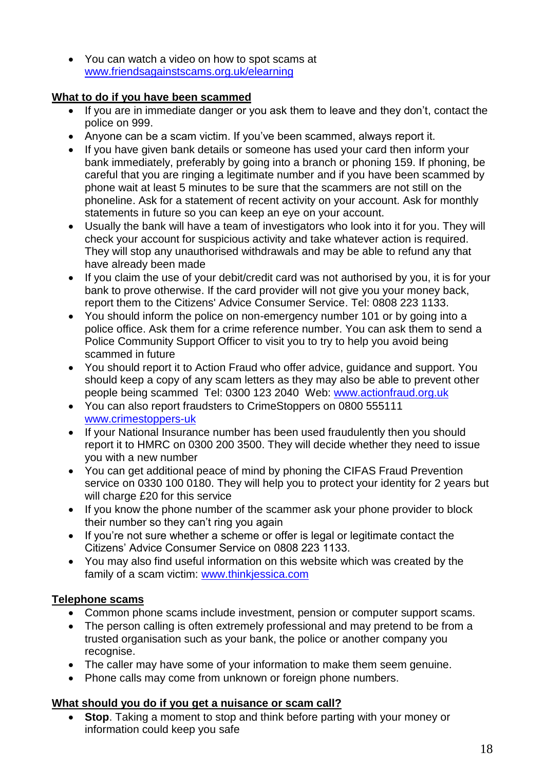• You can watch a video on how to spot scams at [www.friendsagainstscams.org.uk/elearning](http://www.friendsagainstscams.org.uk/elearning)

## <span id="page-17-0"></span>**What to do if you have been scammed**

- If you are in immediate danger or you ask them to leave and they don't, contact the police on 999.
- Anyone can be a scam victim. If you've been scammed, always report it.
- If you have given bank details or someone has used your card then inform your bank immediately, preferably by going into a branch or phoning 159. If phoning, be careful that you are ringing a legitimate number and if you have been scammed by phone wait at least 5 minutes to be sure that the scammers are not still on the phoneline. Ask for a statement of recent activity on your account. Ask for monthly statements in future so you can keep an eye on your account.
- Usually the bank will have a team of investigators who look into it for you. They will check your account for suspicious activity and take whatever action is required. They will stop any unauthorised withdrawals and may be able to refund any that have already been made
- If you claim the use of your debit/credit card was not authorised by you, it is for your bank to prove otherwise. If the card provider will not give you your money back, report them to the Citizens' Advice Consumer Service. Tel: 0808 223 1133.
- You should inform the police on non-emergency number 101 or by going into a police office. Ask them for a crime reference number. You can ask them to send a Police Community Support Officer to visit you to try to help you avoid being scammed in future
- You should report it to Action Fraud who offer advice, guidance and support. You should keep a copy of any scam letters as they may also be able to prevent other people being scammed Tel: 0300 123 2040 Web: [www.actionfraud.org.uk](http://www.actionfraud.org.uk/)
- You can also report fraudsters to CrimeStoppers on 0800 555111 www.crimestoppers-uk
- If your National Insurance number has been used fraudulently then you should report it to HMRC on 0300 200 3500. They will decide whether they need to issue you with a new number
- You can get additional peace of mind by phoning the CIFAS Fraud Prevention service on 0330 100 0180. They will help you to protect your identity for 2 years but will charge £20 for this service
- If you know the phone number of the scammer ask your phone provider to block their number so they can't ring you again
- If you're not sure whether a scheme or offer is legal or legitimate contact the Citizens' Advice Consumer Service on 0808 223 1133.
- You may also find useful information on this website which was created by the family of a scam victim: www.thinkjessica.com

## <span id="page-17-1"></span>**Telephone scams**

- Common phone scams include investment, pension or computer support scams.
- The person calling is often extremely professional and may pretend to be from a trusted organisation such as your bank, the police or another company you recognise.
- The caller may have some of your information to make them seem genuine.
- Phone calls may come from unknown or foreign phone numbers.

## <span id="page-17-2"></span>**What should you do if you get a nuisance or scam call?**

 **Stop**. Taking a moment to stop and think before parting with your money or information could keep you safe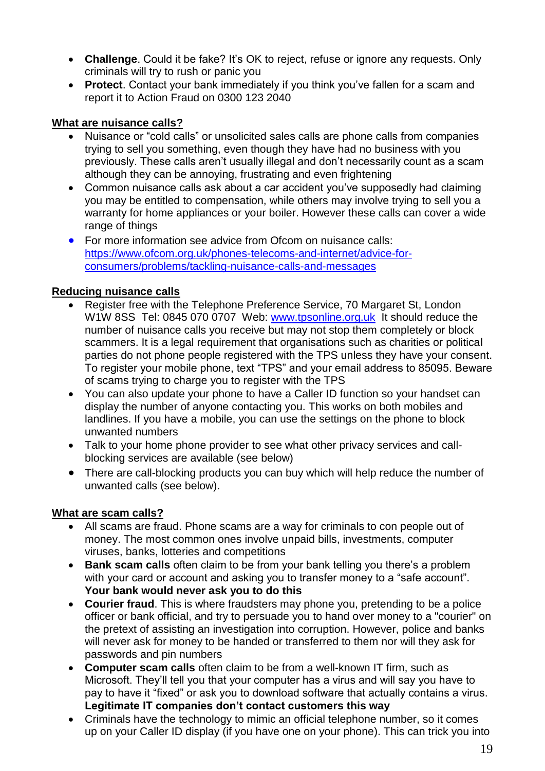- **Challenge**. Could it be fake? It's OK to reject, refuse or ignore any requests. Only criminals will try to rush or panic you
- **Protect**. Contact your bank immediately if you think you've fallen for a scam and report it to Action Fraud on 0300 123 2040

## <span id="page-18-0"></span>**What are nuisance calls?**

- Nuisance or "cold calls" or unsolicited sales calls are phone calls from companies trying to sell you something, even though they have had no business with you previously. These calls aren't usually illegal and don't necessarily count as a scam although they can be annoying, frustrating and even frightening
- Common nuisance calls ask about a car accident you've supposedly had claiming you may be entitled to compensation, while others may involve trying to sell you a warranty for home appliances or your boiler. However these calls can cover a wide range of things
- For more information see advice from Ofcom on nuisance calls: [https://www.ofcom.org.uk/phones-telecoms-and-internet/advice-for](https://www.ofcom.org.uk/phones-telecoms-and-internet/advice-for-consumers/problems/tackling-nuisance-calls-and-messages)[consumers/problems/tackling-nuisance-calls-and-messages](https://www.ofcom.org.uk/phones-telecoms-and-internet/advice-for-consumers/problems/tackling-nuisance-calls-and-messages)

## <span id="page-18-1"></span>**Reducing nuisance calls**

- Register free with the Telephone Preference Service, 70 Margaret St, London W1W 8SS Tel: 0845 070 0707 Web: [www.tpsonline.org.uk](http://www.tpsonline.org.uk/) It should reduce the number of nuisance calls you receive but may not stop them completely or block scammers. It is a legal requirement that organisations such as charities or political parties do not phone people registered with the TPS unless they have your consent. To register your mobile phone, text "TPS" and your email address to 85095. Beware of scams trying to charge you to register with the TPS
- You can also update your phone to have a Caller ID function so your handset can display the number of anyone contacting you. This works on both mobiles and landlines. If you have a mobile, you can use the settings on the phone to block unwanted numbers
- Talk to your home phone provider to see what other privacy services and callblocking services are available (see below)
- There are call-blocking products you can buy which will help reduce the number of unwanted calls (see below).

## <span id="page-18-2"></span>**What are scam calls?**

- All scams are fraud. Phone scams are a way for criminals to con people out of money. The most common ones involve unpaid bills, investments, computer viruses, banks, lotteries and competitions
- **Bank scam calls** often claim to be from your bank telling you there's a problem with your card or account and asking you to transfer money to a "safe account". **Your bank would never ask you to do this**
- **Courier fraud**. This is where fraudsters may phone you, pretending to be a police officer or bank official, and try to persuade you to hand over money to a "courier" on the pretext of assisting an investigation into corruption. However, police and banks will never ask for money to be handed or transferred to them nor will they ask for passwords and pin numbers
- **Computer scam calls** often claim to be from a well-known IT firm, such as Microsoft. They'll tell you that your computer has a virus and will say you have to pay to have it "fixed" or ask you to download software that actually contains a virus. **Legitimate IT companies don't contact customers this way**
- Criminals have the technology to mimic an official telephone number, so it comes up on your Caller ID display (if you have one on your phone). This can trick you into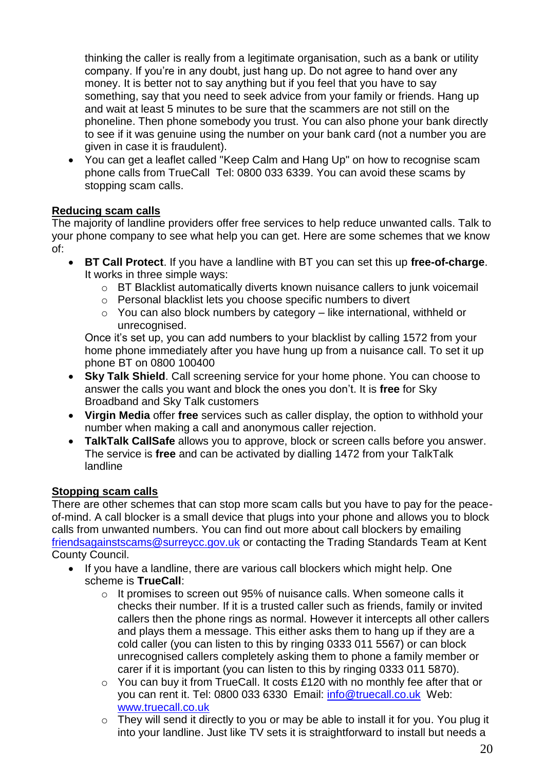thinking the caller is really from a legitimate organisation, such as a bank or utility company. If you're in any doubt, just hang up. Do not agree to hand over any money. It is better not to say anything but if you feel that you have to say something, say that you need to seek advice from your family or friends. Hang up and wait at least 5 minutes to be sure that the scammers are not still on the phoneline. Then phone somebody you trust. You can also phone your bank directly to see if it was genuine using the number on your bank card (not a number you are given in case it is fraudulent).

 You can get a leaflet called "Keep Calm and Hang Up" on how to recognise scam phone calls from TrueCall Tel: 0800 033 6339. You can avoid these scams by stopping scam calls.

## <span id="page-19-0"></span>**Reducing scam calls**

The majority of landline providers offer free services to help reduce unwanted calls. Talk to your phone company to see what help you can get. Here are some schemes that we know of:

- **BT Call Protect**. If you have a landline with BT you can set this up **free-of-charge**. It works in three simple ways:
	- $\circ$  BT Blacklist automatically diverts known nuisance callers to junk voicemail
	- o Personal blacklist lets you choose specific numbers to divert
	- $\circ$  You can also block numbers by category like international, withheld or unrecognised.

Once it's set up, you can add numbers to your blacklist by calling 1572 from your home phone immediately after you have hung up from a nuisance call. To set it up phone BT on 0800 100400

- **Sky Talk Shield**. Call screening service for your home phone. You can choose to answer the calls you want and block the ones you don't. It is **free** for Sky Broadband and Sky Talk customers
- **Virgin Media** offer **free** services such as caller display, the option to withhold your number when making a call and anonymous caller rejection.
- **TalkTalk CallSafe** allows you to approve, block or screen calls before you answer. The service is **free** and can be activated by dialling 1472 from your TalkTalk landline

## <span id="page-19-1"></span>**Stopping scam calls**

There are other schemes that can stop more scam calls but you have to pay for the peaceof-mind. A call blocker is a small device that plugs into your phone and allows you to block calls from unwanted numbers. You can find out more about call blockers by emailing [friendsagainstscams@surreycc.gov.uk](mailto:friendsagainstscams@surreycc.gov.uk) or contacting the Trading Standards Team at Kent County Council.

- If you have a landline, there are various call blockers which might help. One scheme is **TrueCall**:
	- $\circ$  It promises to screen out 95% of nuisance calls. When someone calls it checks their number. If it is a trusted caller such as friends, family or invited callers then the phone rings as normal. However it intercepts all other callers and plays them a message. This either asks them to hang up if they are a cold caller (you can listen to this by ringing 0333 011 5567) or can block unrecognised callers completely asking them to phone a family member or carer if it is important (you can listen to this by ringing 0333 011 5870).
	- o You can buy it from TrueCall. It costs £120 with no monthly fee after that or you can rent it. Tel: 0800 033 6330 Email: info@truecall.co.uk Web: [www.truecall.co.uk](http://www.truecall.co.uk/)
	- o They will send it directly to you or may be able to install it for you. You plug it into your landline. Just like TV sets it is straightforward to install but needs a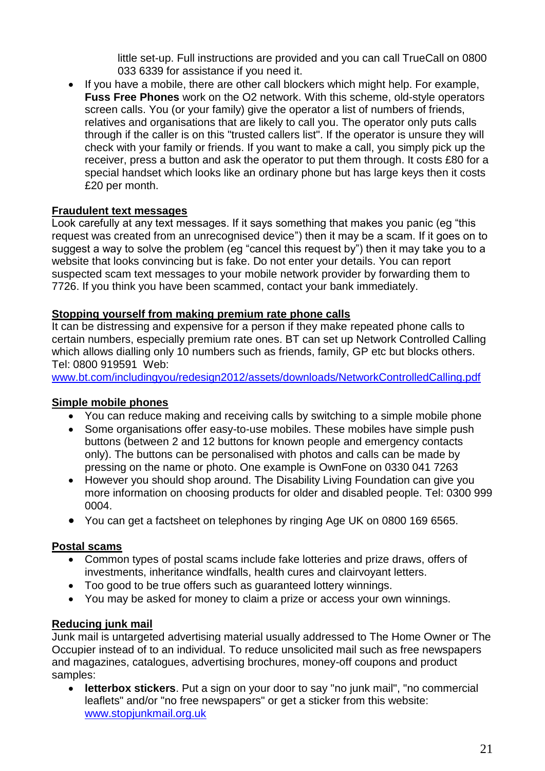little set-up. Full instructions are provided and you can call TrueCall on 0800 033 6339 for assistance if you need it.

 If you have a mobile, there are other call blockers which might help. For example, **Fuss Free Phones** work on the O2 network. With this scheme, old-style operators screen calls. You (or your family) give the operator a list of numbers of friends, relatives and organisations that are likely to call you. The operator only puts calls through if the caller is on this "trusted callers list". If the operator is unsure they will check with your family or friends. If you want to make a call, you simply pick up the receiver, press a button and ask the operator to put them through. It costs £80 for a special handset which looks like an ordinary phone but has large keys then it costs £20 per month.

## <span id="page-20-0"></span>**Fraudulent text messages**

Look carefully at any text messages. If it says something that makes you panic (eg "this request was created from an unrecognised device") then it may be a scam. If it goes on to suggest a way to solve the problem (eg "cancel this request by") then it may take you to a website that looks convincing but is fake. Do not enter your details. You can report suspected scam text messages to your mobile network provider by forwarding them to 7726. If you think you have been scammed, contact your bank immediately.

## <span id="page-20-1"></span>**Stopping yourself from making premium rate phone calls**

It can be distressing and expensive for a person if they make repeated phone calls to certain numbers, especially premium rate ones. BT can set up Network Controlled Calling which allows dialling only 10 numbers such as friends, family, GP etc but blocks others. Tel: 0800 919591 Web:

[www.bt.com/includingyou/redesign2012/assets/downloads/NetworkControlledCalling.pdf](http://www.bt.com/includingyou/redesign2012/assets/downloads/NetworkControlledCalling.pdf)

## <span id="page-20-2"></span>**Simple mobile phones**

- You can reduce making and receiving calls by switching to a simple mobile phone
- Some organisations offer easy-to-use mobiles. These mobiles have simple push buttons (between 2 and 12 buttons for known people and emergency contacts only). The buttons can be personalised with photos and calls can be made by pressing on the name or photo. One example is OwnFone on 0330 041 7263
- However you should shop around. The Disability Living Foundation can give you more information on choosing products for older and disabled people. Tel: 0300 999 0004.
- You can get a factsheet on telephones by ringing Age UK on 0800 169 6565.

## <span id="page-20-3"></span>**Postal scams**

- Common types of postal scams include fake lotteries and prize draws, offers of investments, inheritance windfalls, health cures and clairvoyant letters.
- Too good to be true offers such as guaranteed lottery winnings.
- You may be asked for money to claim a prize or access your own winnings.

## <span id="page-20-4"></span>**Reducing junk mail**

Junk mail is untargeted advertising material usually addressed to The Home Owner or The Occupier instead of to an individual. To reduce unsolicited mail such as free newspapers and magazines, catalogues, advertising brochures, money-off coupons and product samples:

 **letterbox stickers**. Put a sign on your door to say "no junk mail", "no commercial leaflets" and/or "no free newspapers" or get a sticker from this website: www.stopjunkmail.org.uk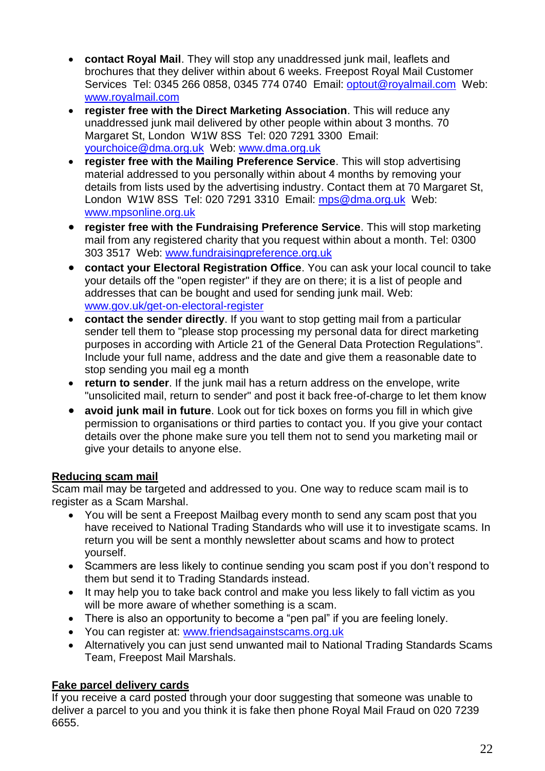- **contact Royal Mail**. They will stop any unaddressed junk mail, leaflets and brochures that they deliver within about 6 weeks. Freepost Royal Mail Customer Services Tel: 0345 266 0858, 0345 774 0740 Email: optout@royalmail.com Web: www.royalmail.com
- **register free with the Direct Marketing Association**. This will reduce any unaddressed junk mail delivered by other people within about 3 months. 70 Margaret St, London W1W 8SS Tel: 020 7291 3300 Email: yourchoice@dma.org.uk Web: www.dma.org.uk
- **register free with the Mailing Preference Service**. This will stop advertising material addressed to you personally within about 4 months by removing your details from lists used by the advertising industry. Contact them at 70 Margaret St, London W1W 8SS Tel: 020 7291 3310 Email: mps@dma.org.uk Web: [www.mpsonline.org.uk](http://www.mpsonline.org.uk/)
- **register free with the Fundraising Preference Service**. This will stop marketing mail from any registered charity that you request within about a month. Tel: 0300 303 3517 Web: www.fundraisingpreference.org.uk
- **contact your Electoral Registration Office**. You can ask your local council to take your details off the "open register" if they are on there; it is a list of people and addresses that can be bought and used for sending junk mail. Web: www.gov.uk/get-on-electoral-register
- **contact the sender directly**. If you want to stop getting mail from a particular sender tell them to "please stop processing my personal data for direct marketing purposes in according with Article 21 of the General Data Protection Regulations". Include your full name, address and the date and give them a reasonable date to stop sending you mail eg a month
- **return to sender**. If the junk mail has a return address on the envelope, write "unsolicited mail, return to sender" and post it back free-of-charge to let them know
- **avoid junk mail in future**. Look out for tick boxes on forms you fill in which give permission to organisations or third parties to contact you. If you give your contact details over the phone make sure you tell them not to send you marketing mail or give your details to anyone else.

## <span id="page-21-0"></span>**Reducing scam mail**

Scam mail may be targeted and addressed to you. One way to reduce scam mail is to register as a Scam Marshal.

- You will be sent a Freepost Mailbag every month to send any scam post that you have received to National Trading Standards who will use it to investigate scams. In return you will be sent a monthly newsletter about scams and how to protect yourself.
- Scammers are less likely to continue sending you scam post if you don't respond to them but send it to Trading Standards instead.
- It may help you to take back control and make you less likely to fall victim as you will be more aware of whether something is a scam.
- There is also an opportunity to become a "pen pal" if you are feeling lonely.
- You can register at: [www.friendsagainstscams.org.uk](http://www.friendsagainstscams.org.uk/)
- Alternatively you can just send unwanted mail to National Trading Standards Scams Team, Freepost Mail Marshals.

## <span id="page-21-1"></span>**Fake parcel delivery cards**

If you receive a card posted through your door suggesting that someone was unable to deliver a parcel to you and you think it is fake then phone Royal Mail Fraud on 020 7239 6655.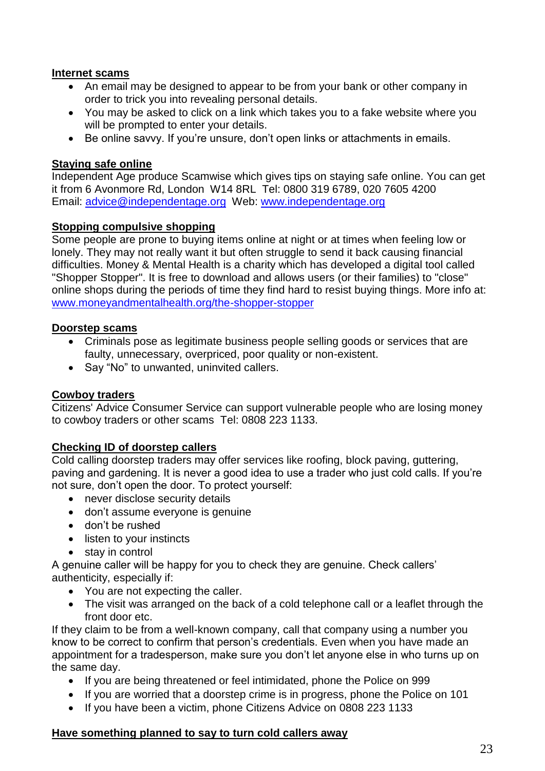#### <span id="page-22-0"></span>**Internet scams**

- An email may be designed to appear to be from your bank or other company in order to trick you into revealing personal details.
- You may be asked to click on a link which takes you to a fake website where you will be prompted to enter your details.
- Be online savvy. If you're unsure, don't open links or attachments in emails.

#### <span id="page-22-1"></span>**Staying safe online**

Independent Age produce Scamwise which gives tips on staying safe online. You can get it from 6 Avonmore Rd, London W14 8RL Tel: 0800 319 6789, 020 7605 4200 Email: [advice@independentage.org](mailto:advice@independentage.org) Web: [www.independentage.org](http://www.independentage.org/)

#### <span id="page-22-2"></span>**Stopping compulsive shopping**

Some people are prone to buying items online at night or at times when feeling low or lonely. They may not really want it but often struggle to send it back causing financial difficulties. Money & Mental Health is a charity which has developed a digital tool called "Shopper Stopper". It is free to download and allows users (or their families) to "close" online shops during the periods of time they find hard to resist buying things. More info at: [www.moneyandmentalhealth.org/the-shopper-stopper](http://www.moneyandmentalhealth.org/the-shopper-stopper)

#### <span id="page-22-3"></span>**Doorstep scams**

- Criminals pose as legitimate business people selling goods or services that are faulty, unnecessary, overpriced, poor quality or non-existent.
- Say "No" to unwanted, uninvited callers.

## <span id="page-22-4"></span>**Cowboy traders**

Citizens' Advice Consumer Service can support vulnerable people who are losing money to cowboy traders or other scams Tel: 0808 223 1133.

#### <span id="page-22-5"></span>**Checking ID of doorstep callers**

Cold calling doorstep traders may offer services like roofing, block paving, guttering, paving and gardening. It is never a good idea to use a trader who just cold calls. If you're not sure, don't open the door. To protect yourself:

- never disclose security details
- don't assume everyone is genuine
- don't be rushed
- listen to your instincts
- stay in control

A genuine caller will be happy for you to check they are genuine. Check callers' authenticity, especially if:

- You are not expecting the caller.
- The visit was arranged on the back of a cold telephone call or a leaflet through the front door etc.

If they claim to be from a well-known company, call that company using a number you know to be correct to confirm that person's credentials. Even when you have made an appointment for a tradesperson, make sure you don't let anyone else in who turns up on the same day.

- If you are being threatened or feel intimidated, phone the Police on 999
- If you are worried that a doorstep crime is in progress, phone the Police on 101
- If you have been a victim, phone Citizens Advice on 0808 223 1133

#### <span id="page-22-6"></span>**Have something planned to say to turn cold callers away**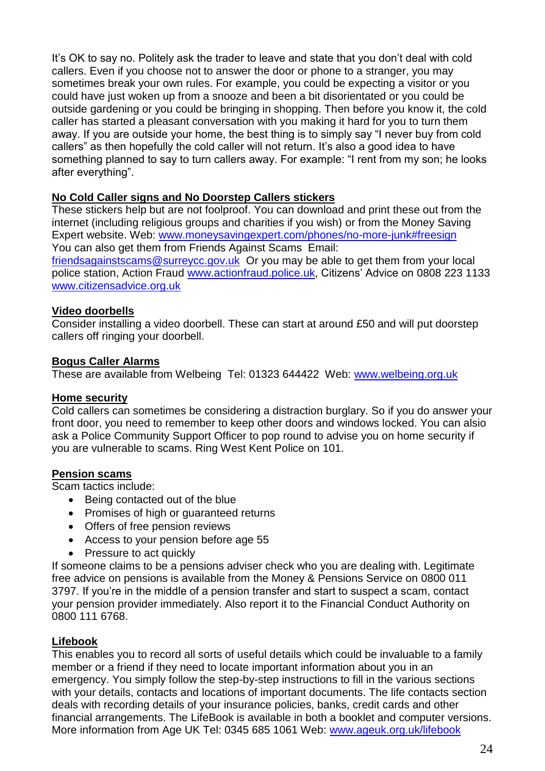It's OK to say no. Politely ask the trader to leave and state that you don't deal with cold callers. Even if you choose not to answer the door or phone to a stranger, you may sometimes break your own rules. For example, you could be expecting a visitor or you could have just woken up from a snooze and been a bit disorientated or you could be outside gardening or you could be bringing in shopping. Then before you know it, the cold caller has started a pleasant conversation with you making it hard for you to turn them away. If you are outside your home, the best thing is to simply say "I never buy from cold callers" as then hopefully the cold caller will not return. It's also a good idea to have something planned to say to turn callers away. For example: "I rent from my son; he looks after everything".

## <span id="page-23-0"></span>**No Cold Caller signs and No Doorstep Callers stickers**

These stickers help but are not foolproof. You can download and print these out from the internet (including religious groups and charities if you wish) or from the Money Saving Expert website. Web: [www.moneysavingexpert.com/phones/no-more-junk#freesign](http://www.moneysavingexpert.com/phones/no-more-junk#freesign) You can also get them from Friends Against Scams Email:

[friendsagainstscams@surreycc.gov.uk](mailto:friendsagainstscams@surreycc.gov.uk) Or you may be able to get them from your local police station, Action Fraud [www.actionfraud.police.uk,](http://www.actionfraud.police.uk/) Citizens' Advice on 0808 223 1133 [www.citizensadvice.org.uk](http://www.citizensadvice.org.uk/)

#### <span id="page-23-1"></span>**Video doorbells**

Consider installing a video doorbell. These can start at around £50 and will put doorstep callers off ringing your doorbell.

#### <span id="page-23-2"></span>**Bogus Caller Alarms**

These are available from Welbeing Tel: 01323 644422 Web: [www.welbeing.org.uk](http://www.welbeing.org.uk/)

#### <span id="page-23-3"></span>**Home security**

Cold callers can sometimes be considering a distraction burglary. So if you do answer your front door, you need to remember to keep other doors and windows locked. You can alsio ask a Police Community Support Officer to pop round to advise you on home security if you are vulnerable to scams. Ring West Kent Police on 101.

#### <span id="page-23-4"></span>**Pension scams**

Scam tactics include:

- Being contacted out of the blue
- Promises of high or quaranteed returns
- Offers of free pension reviews
- Access to your pension before age 55
- Pressure to act quickly

If someone claims to be a pensions adviser check who you are dealing with. Legitimate free advice on pensions is available from the Money & Pensions Service on 0800 011 3797. If you're in the middle of a pension transfer and start to suspect a scam, contact your pension provider immediately. Also report it to the Financial Conduct Authority on 0800 111 6768.

#### <span id="page-23-5"></span>**Lifebook**

This enables you to record all sorts of useful details which could be invaluable to a family member or a friend if they need to locate important information about you in an emergency. You simply follow the step-by-step instructions to fill in the various sections with your details, contacts and locations of important documents. The life contacts section deals with recording details of your insurance policies, banks, credit cards and other financial arrangements. The LifeBook is available in both a booklet and computer versions. More information from Age UK Tel: 0345 685 1061 Web: [www.ageuk.org.uk/lifebook](http://www.ageuk.org.uk/lifebook)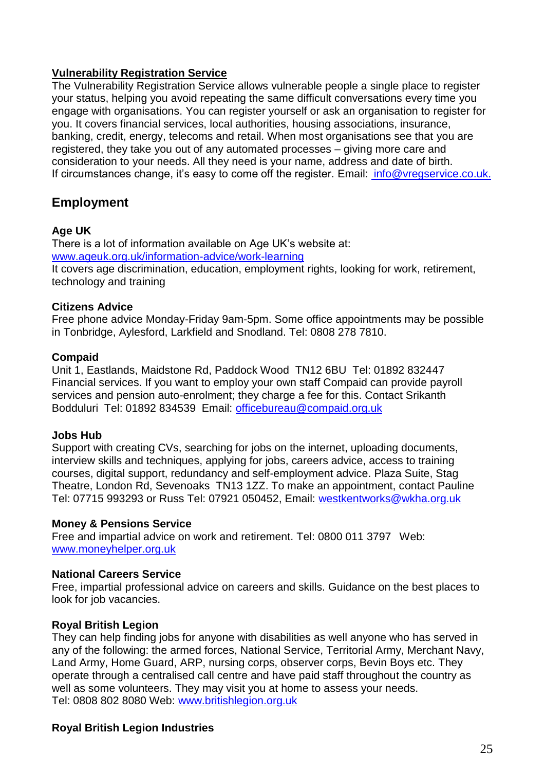#### <span id="page-24-0"></span>**Vulnerability Registration Service**

The Vulnerability Registration Service allows vulnerable people a single place to register your status, helping you avoid repeating the same difficult conversations every time you engage with organisations. You can register yourself or ask an organisation to register for you. It covers financial services, local authorities, housing associations, insurance, banking, credit, energy, telecoms and retail. When most organisations see that you are registered, they take you out of any automated processes – giving more care and consideration to your needs. All they need is your name, address and date of birth. If circumstances change, it's easy to come off the register. Email: [info@vregservice.co.uk](mailto:info@vregservice.co.uk).

## <span id="page-24-1"></span>**Employment**

#### **Age UK**

There is a lot of information available on Age UK's website at: [www.ageuk.org.uk/information-advice/work-learning](http://www.ageuk.org.uk/information-advice/work-learning) It covers age discrimination, education, employment rights, looking for work, retirement, technology and training

#### **Citizens Advice**

Free phone advice Monday-Friday 9am-5pm. Some office appointments may be possible in Tonbridge, Aylesford, Larkfield and Snodland. Tel: 0808 278 7810.

#### **Compaid**

Unit 1, Eastlands, Maidstone Rd, Paddock Wood TN12 6BU Tel: 01892 832447 Financial services. If you want to employ your own staff Compaid can provide payroll services and pension auto-enrolment; they charge a fee for this. Contact Srikanth Bodduluri Tel: 01892 834539 Email: [officebureau@compaid.org.uk](mailto:officebureau@compaid.org.uk)

## **Jobs Hub**

Support with creating CVs, searching for jobs on the internet, uploading documents, interview skills and techniques, applying for jobs, careers advice, access to training courses, digital support, redundancy and self-employment advice. Plaza Suite, Stag Theatre, London Rd, Sevenoaks TN13 1ZZ. To make an appointment, contact Pauline Tel: 07715 993293 or Russ Tel: 07921 050452, Email: [westkentworks@wkha.org.uk](mailto:westkentworks@wkha.org.uk)

#### **Money & Pensions Service**

Free and impartial advice on work and retirement. Tel: 0800 011 3797 Web: [www.moneyhelper.org.uk](http://www.moneyhelper.org.uk/)

## **National Careers Service**

Free, impartial professional advice on careers and skills. Guidance on the best places to look for job vacancies.

## **Royal British Legion**

They can help finding jobs for anyone with disabilities as well anyone who has served in any of the following: the armed forces, National Service, Territorial Army, Merchant Navy, Land Army, Home Guard, ARP, nursing corps, observer corps, Bevin Boys etc. They operate through a centralised call centre and have paid staff throughout the country as well as some volunteers. They may visit you at home to assess your needs. Tel: 0808 802 8080 Web: [www.britishlegion.org.uk](http://www.britishlegion.org.uk/)

## **Royal British Legion Industries**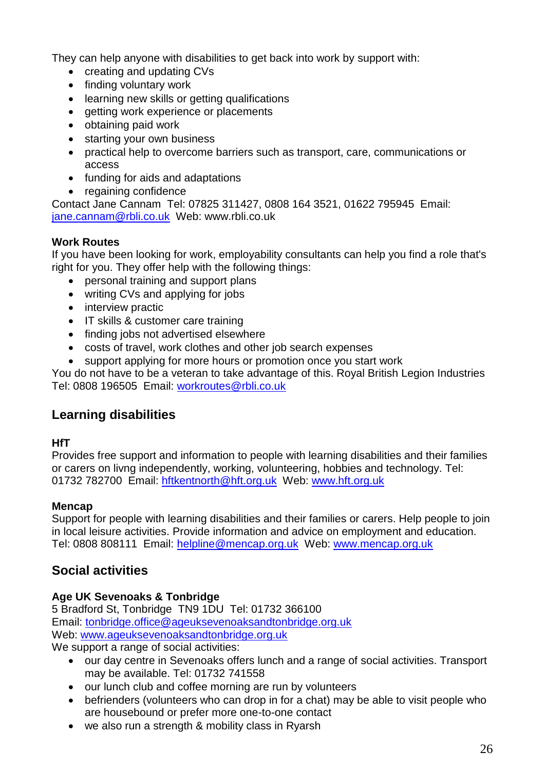They can help anyone with disabilities to get back into work by support with:

- creating and updating CVs
- finding voluntary work
- learning new skills or getting qualifications
- getting work experience or placements
- obtaining paid work
- starting your own business
- practical help to overcome barriers such as transport, care, communications or access
- funding for aids and adaptations
- regaining confidence

Contact Jane Cannam Tel: 07825 311427, 0808 164 3521, 01622 795945 Email: [jane.cannam@rbli.co.uk](mailto:jane.cannam@rbli.co.uk) Web: www.rbli.co.uk

#### **Work Routes**

If you have been looking for work, employability consultants can help you find a role that's right for you. They offer help with the following things:

- personal training and support plans
- writing CVs and applying for jobs
- interview practic
- IT skills & customer care training
- finding jobs not advertised elsewhere
- costs of travel, work clothes and other job search expenses
- support applying for more hours or promotion once you start work

You do not have to be a veteran to take advantage of this. Royal British Legion Industries Tel: 0808 196505 Email: workroutes@rbli.co.uk

## <span id="page-25-0"></span>**Learning disabilities**

## **HfT**

Provides free support and information to people with learning disabilities and their families or carers on livng independently, working, volunteering, hobbies and technology. Tel: 01732 782700 Email: hftkentnorth@hft.org.uk Web: www.hft.org.uk

#### **Mencap**

Support for people with learning disabilities and their families or carers. Help people to join in local leisure activities. Provide information and advice on employment and education. Tel: 0808 808111 Email: helpline@mencap.org.uk Web: www.mencap.org.uk

## <span id="page-25-1"></span>**Social activities**

## **Age UK Sevenoaks & Tonbridge**

5 Bradford St, Tonbridge TN9 1DU Tel: 01732 366100 Email: [tonbridge.office@ageuksevenoaksandtonbridge.org.uk](mailto:tonbridge.office@ageuksevenoaksandtonbridge.org.uk) Web: [www.ageuksevenoaksandtonbridge.org.uk](http://www.ageuksevenoaksandtonbridge.org.uk/)

We support a range of social activities:

- our day centre in Sevenoaks offers lunch and a range of social activities. Transport may be available. Tel: 01732 741558
- our lunch club and coffee morning are run by volunteers
- befrienders (volunteers who can drop in for a chat) may be able to visit people who are housebound or prefer more one-to-one contact
- we also run a strength & mobility class in Ryarsh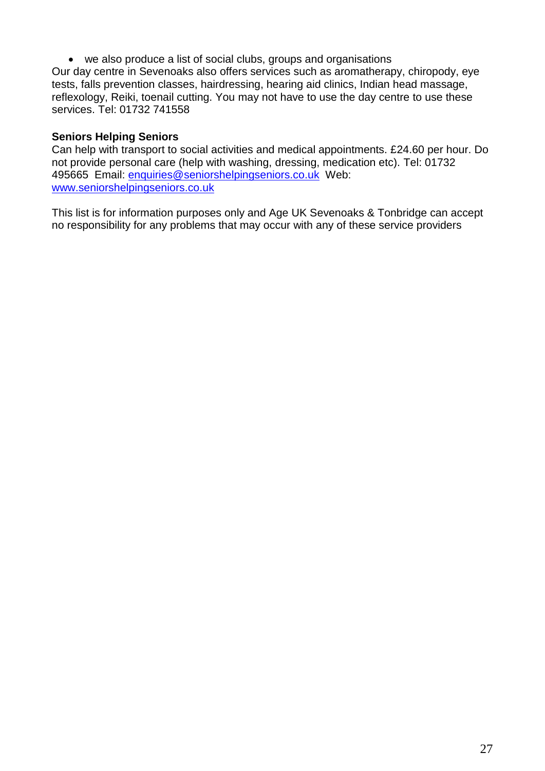we also produce a list of social clubs, groups and organisations

Our day centre in Sevenoaks also offers services such as aromatherapy, chiropody, eye tests, falls prevention classes, hairdressing, hearing aid clinics, Indian head massage, reflexology, Reiki, toenail cutting. You may not have to use the day centre to use these services. Tel: 01732 741558

#### **Seniors Helping Seniors**

Can help with transport to social activities and medical appointments. £24.60 per hour. Do not provide personal care (help with washing, dressing, medication etc). Tel: 01732 495665 Email: enquiries@seniorshelpingseniors.co.uk Web: www.seniorshelpingseniors.co.uk

This list is for information purposes only and Age UK Sevenoaks & Tonbridge can accept no responsibility for any problems that may occur with any of these service providers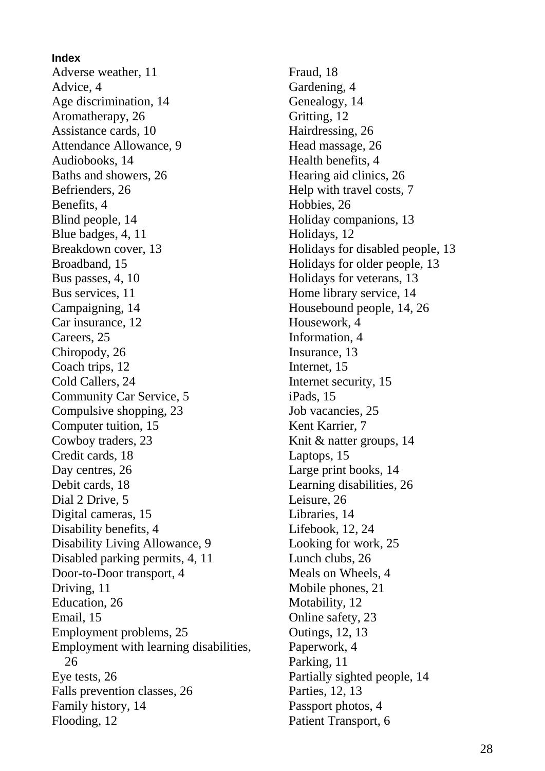**Index** Adverse weather, 11 Advice, 4 Age discrimination, 14 Aromatherapy, 26 Assistance cards, 10 Attendance Allowance, 9 Audiobooks, 14 Baths and showers, 26 Befrienders, 26 Benefits, 4 Blind people, 14 Blue badges, 4, 11 Breakdown cover, 13 Broadband, 15 Bus passes, 4, 10 Bus services, 11 Campaigning, 14 Car insurance, 12 Careers, 25 Chiropody, 26 Coach trips, 12 Cold Callers, 24 Community Car Service, 5 Compulsive shopping, 23 Computer tuition, 15 Cowboy traders, 23 Credit cards, 18 Day centres, 26 Debit cards, 18 Dial 2 Drive, 5 Digital cameras, 15 Disability benefits, 4 Disability Living Allowance, 9 Disabled parking permits, 4, 11 Door-to-Door transport, 4 Driving, 11 Education, 26 Email, 15 Employment problems, 25 Employment with learning disabilities, 26 Eye tests, 26 Falls prevention classes, 26 Family history, 14 Flooding, 12

Fraud, 18 Gardening, 4 Genealogy, 14 Gritting, 12 Hairdressing, 26 Head massage, 26 Health benefits, 4 Hearing aid clinics, 26 Help with travel costs, 7 Hobbies, 26 Holiday companions, 13 Holidays, 12 Holidays for disabled people, 13 Holidays for older people, 13 Holidays for veterans, 13 Home library service, 14 Housebound people, 14, 26 Housework, 4 Information, 4 Insurance, 13 Internet, 15 Internet security, 15 iPads, 15 Job vacancies, 25 Kent Karrier, 7 Knit & natter groups, 14 Laptops, 15 Large print books, 14 Learning disabilities, 26 Leisure, 26 Libraries, 14 Lifebook, 12, 24 Looking for work, 25 Lunch clubs, 26 Meals on Wheels, 4 Mobile phones, 21 Motability, 12 Online safety, 23 Outings, 12, 13 Paperwork, 4 Parking, 11 Partially sighted people, 14 Parties, 12, 13 Passport photos, 4 Patient Transport, 6